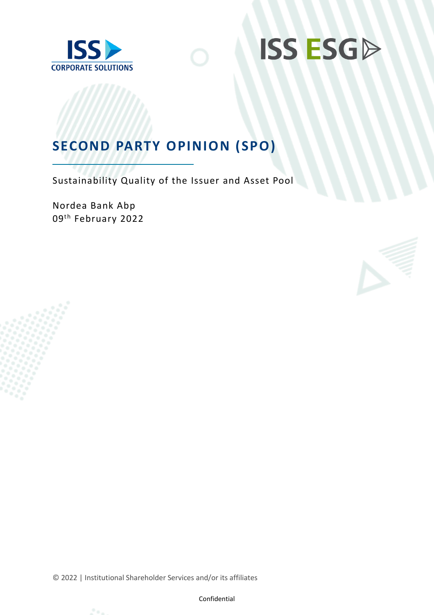



## **SECOND PARTY OPINION (SPO)**

Sustainability Quality of the Issuer and Asset Pool

Nordea Bank Abp 09<sup>th</sup> February 2022



© 2022 | Institutional Shareholder Services and/or its affiliates



Confidential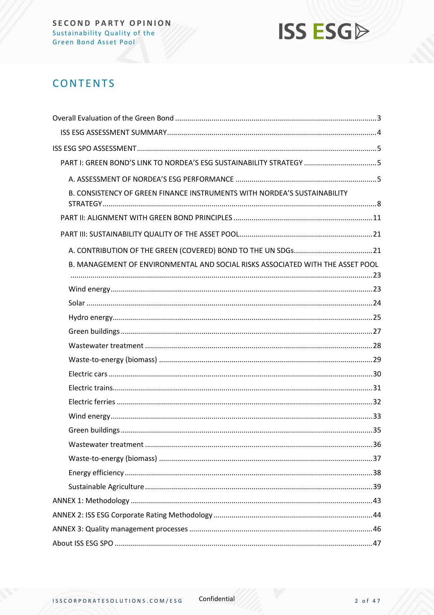

### **CONTENTS**

| B. CONSISTENCY OF GREEN FINANCE INSTRUMENTS WITH NORDEA'S SUSTAINABILITY       |
|--------------------------------------------------------------------------------|
|                                                                                |
|                                                                                |
|                                                                                |
| B. MANAGEMENT OF ENVIRONMENTAL AND SOCIAL RISKS ASSOCIATED WITH THE ASSET POOL |
|                                                                                |
|                                                                                |
|                                                                                |
|                                                                                |
|                                                                                |
|                                                                                |
|                                                                                |
|                                                                                |
|                                                                                |
|                                                                                |
|                                                                                |
|                                                                                |
|                                                                                |
|                                                                                |
|                                                                                |
|                                                                                |
|                                                                                |
|                                                                                |
|                                                                                |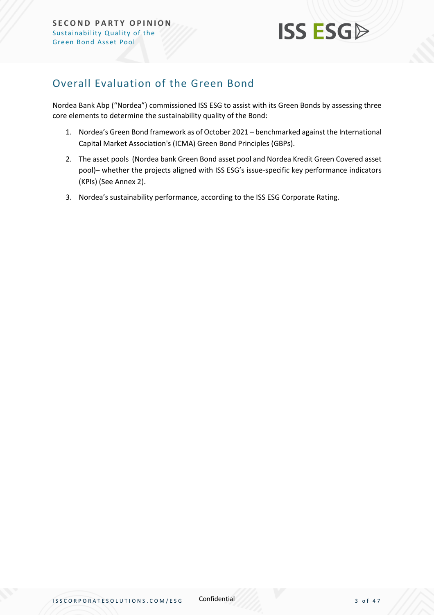

### <span id="page-2-0"></span>Overall Evaluation of the Green Bond

Nordea Bank Abp ("Nordea") commissioned ISS ESG to assist with its Green Bonds by assessing three core elements to determine the sustainability quality of the Bond:

- 1. Nordea's Green Bond framework as of October 2021 benchmarked against the International Capital Market Association's (ICMA) Green Bond Principles (GBPs).
- 2. The asset pools (Nordea bank Green Bond asset pool and Nordea Kredit Green Covered asset pool)– whether the projects aligned with ISS ESG's issue-specific key performance indicators (KPIs) (See Annex 2).
- 3. Nordea's sustainability performance, according to the ISS ESG Corporate Rating.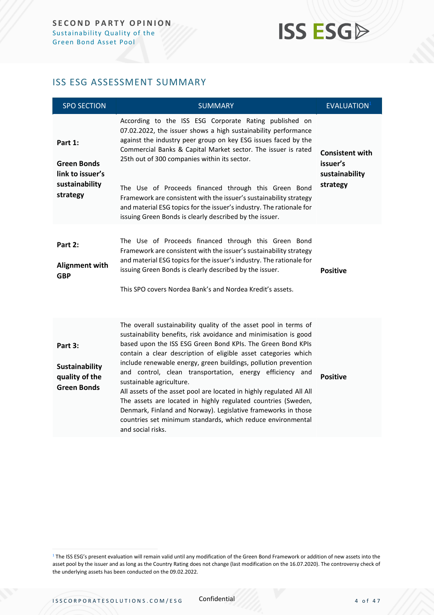## **ISS ESGA**

### <span id="page-3-0"></span>ISS ESG ASSESSMENT SUMMARY

| <b>SPO SECTION</b>                                                              | <b>SUMMARY</b>                                                                                                                                                                                                                                                                                                                                                                                                                                                                                                                                                                                                                                                                                                                 | EVALUATION <sup>1</sup>                                          |
|---------------------------------------------------------------------------------|--------------------------------------------------------------------------------------------------------------------------------------------------------------------------------------------------------------------------------------------------------------------------------------------------------------------------------------------------------------------------------------------------------------------------------------------------------------------------------------------------------------------------------------------------------------------------------------------------------------------------------------------------------------------------------------------------------------------------------|------------------------------------------------------------------|
| Part 1:<br><b>Green Bonds</b><br>link to issuer's<br>sustainability<br>strategy | According to the ISS ESG Corporate Rating published on<br>07.02.2022, the issuer shows a high sustainability performance<br>against the industry peer group on key ESG issues faced by the<br>Commercial Banks & Capital Market sector. The issuer is rated<br>25th out of 300 companies within its sector.<br>The Use of Proceeds financed through this Green Bond<br>Framework are consistent with the issuer's sustainability strategy<br>and material ESG topics for the issuer's industry. The rationale for<br>issuing Green Bonds is clearly described by the issuer.                                                                                                                                                   | <b>Consistent with</b><br>issuer's<br>sustainability<br>strategy |
| Part 2:<br><b>Alignment with</b><br><b>GBP</b>                                  | The Use of Proceeds financed through this Green Bond<br>Framework are consistent with the issuer's sustainability strategy<br>and material ESG topics for the issuer's industry. The rationale for<br>issuing Green Bonds is clearly described by the issuer.<br>This SPO covers Nordea Bank's and Nordea Kredit's assets.                                                                                                                                                                                                                                                                                                                                                                                                     | <b>Positive</b>                                                  |
| Part 3:<br>Sustainability<br>quality of the<br><b>Green Bonds</b>               | The overall sustainability quality of the asset pool in terms of<br>sustainability benefits, risk avoidance and minimisation is good<br>based upon the ISS ESG Green Bond KPIs. The Green Bond KPIs<br>contain a clear description of eligible asset categories which<br>include renewable energy, green buildings, pollution prevention<br>and control, clean transportation, energy efficiency and<br>sustainable agriculture.<br>All assets of the asset pool are located in highly regulated All All<br>The assets are located in highly regulated countries (Sweden,<br>Denmark, Finland and Norway). Legislative frameworks in those<br>countries set minimum standards, which reduce environmental<br>and social risks. | <b>Positive</b>                                                  |

<sup>&</sup>lt;sup>1</sup> The ISS ESG's present evaluation will remain valid until any modification of the Green Bond Framework or addition of new assets into the asset pool by the issuer and as long as the Country Rating does not change (last modification on the 16.07.2020). The controversy check of the underlying assets has been conducted on the 09.02.2022.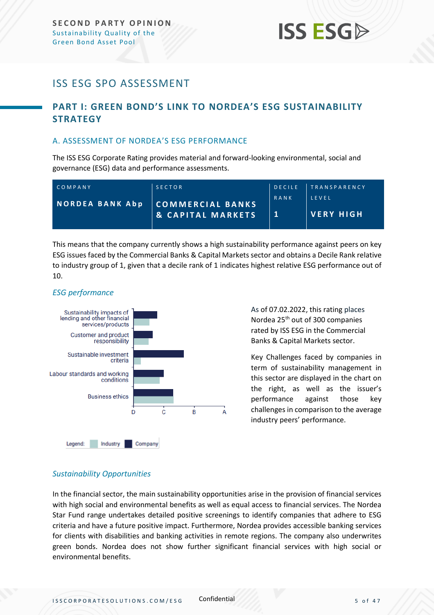## **ISS ESG**

### <span id="page-4-0"></span>ISS ESG SPO ASSESSMENT

### <span id="page-4-1"></span>**PART I: GREEN BOND'S LINK TO NORDEA'S ESG SUSTAINABILITY STRATEGY**

### <span id="page-4-2"></span>A. ASSESSMENT OF NORDEA'S ESG PERFORMANCE

The ISS ESG Corporate Rating provides material and forward-looking environmental, social and governance (ESG) data and performance assessments.

| COMPANY                | <b>SECTOR</b>                                    |      | DECILE TRANSPARENCY       |
|------------------------|--------------------------------------------------|------|---------------------------|
| <b>NORDEA BANK Abp</b> | COMMERCIAL BANKS<br><b>&amp; CAPITAL MARKETS</b> | RANK | IFVFI<br><b>VERY HIGH</b> |

This means that the company currently shows a high sustainability performance against peers on key ESG issues faced by the Commercial Banks & Capital Markets sector and obtains a Decile Rank relative to industry group of 1, given that a decile rank of 1 indicates highest relative ESG performance out of 10.

### *ESG performance*



As of 07.02.2022, this rating places Nordea 25<sup>th</sup> out of 300 companies rated by ISS ESG in the Commercial Banks & Capital Markets sector.

Key Challenges faced by companies in term of sustainability management in this sector are displayed in the chart on the right, as well as the issuer's performance against those key challenges in comparison to the average industry peers' performance.

### *Sustainability Opportunities*

In the financial sector, the main sustainability opportunities arise in the provision of financial services with high social and environmental benefits as well as equal access to financial services. The Nordea Star Fund range undertakes detailed positive screenings to identify companies that adhere to ESG criteria and have a future positive impact. Furthermore, Nordea provides accessible banking services for clients with disabilities and banking activities in remote regions. The company also underwrites green bonds. Nordea does not show further significant financial services with high social or environmental benefits.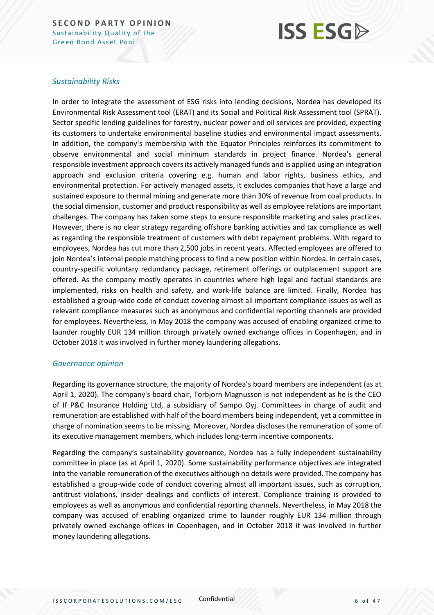## **ISS ESG**

### *Sustainability Risks*

In order to integrate the assessment of ESG risks into lending decisions, Nordea has developed its Environmental Risk Assessment tool (ERAT) and its Social and Political Risk Assessment tool (SPRAT). Sector specific lending guidelines for forestry, nuclear power and oil services are provided, expecting its customers to undertake environmental baseline studies and environmental impact assessments. In addition, the company's membership with the Equator Principles reinforces its commitment to observe environmental and social minimum standards in project finance. Nordea's general responsible investment approach covers its actively managed funds and is applied using an integration approach and exclusion criteria covering e.g. human and labor rights, business ethics, and environmental protection. For actively managed assets, it excludes companies that have a large and sustained exposure to thermal mining and generate more than 30% of revenue from coal products. In the social dimension, customer and product responsibility as well as employee relations are important challenges. The company has taken some steps to ensure responsible marketing and sales practices. However, there is no clear strategy regarding offshore banking activities and tax compliance as well as regarding the responsible treatment of customers with debt repayment problems. With regard to employees, Nordea has cut more than 2,500 jobs in recent years. Affected employees are offered to join Nordea's internal people matching process to find a new position within Nordea. In certain cases, country-specific voluntary redundancy package, retirement offerings or outplacement support are offered. As the company mostly operates in countries where high legal and factual standards are implemented, risks on health and safety, and work-life balance are limited. Finally, Nordea has established a group-wide code of conduct covering almost all important compliance issues as well as relevant compliance measures such as anonymous and confidential reporting channels are provided for employees. Nevertheless, in May 2018 the company was accused of enabling organized crime to launder roughly EUR 134 million through privately owned exchange offices in Copenhagen, and in October 2018 it was involved in further money laundering allegations.

### *Governance opinion*

Regarding its governance structure, the majority of Nordea's board members are independent (as at April 1, 2020). The company's board chair, Torbjorn Magnusson is not independent as he is the CEO of If P&C Insurance Holding Ltd, a subsidiary of Sampo Oyj. Committees in charge of audit and remuneration are established with half of the board members being independent, yet a committee in charge of nomination seems to be missing. Moreover, Nordea discloses the remuneration of some of its executive management members, which includes long-term incentive components.

Regarding the company's sustainability governance, Nordea has a fully independent sustainability committee in place (as at April 1, 2020). Some sustainability performance objectives are integrated into the variable remuneration of the executives although no details were provided. The company has established a group-wide code of conduct covering almost all important issues, such as corruption, antitrust violations, insider dealings and conflicts of interest. Compliance training is provided to employees as well as anonymous and confidential reporting channels. Nevertheless, in May 2018 the company was accused of enabling organized crime to launder roughly EUR 134 million through privately owned exchange offices in Copenhagen, and in October 2018 it was involved in further money laundering allegations.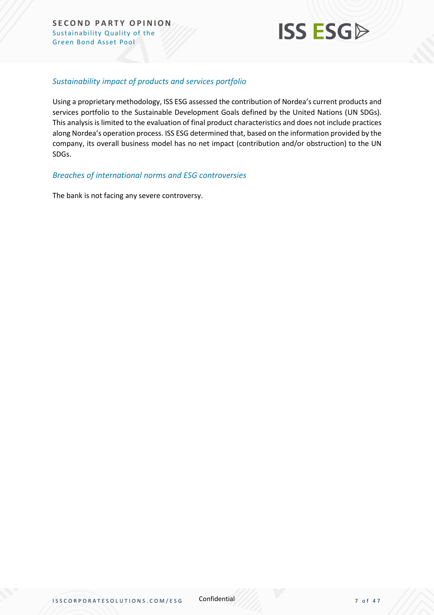

### *Sustainability impact of products and services portfolio*

Using a proprietary methodology, ISS ESG assessed the contribution of Nordea's current products and services portfolio to the Sustainable Development Goals defined by the United Nations (UN SDGs). This analysis is limited to the evaluation of final product characteristics and does not include practices along Nordea's operation process. ISS ESG determined that, based on the information provided by the company, its overall business model has no net impact (contribution and/or obstruction) to the UN SDGs.

### *Breaches of international norms and ESG controversies*

The bank is not facing any severe controversy.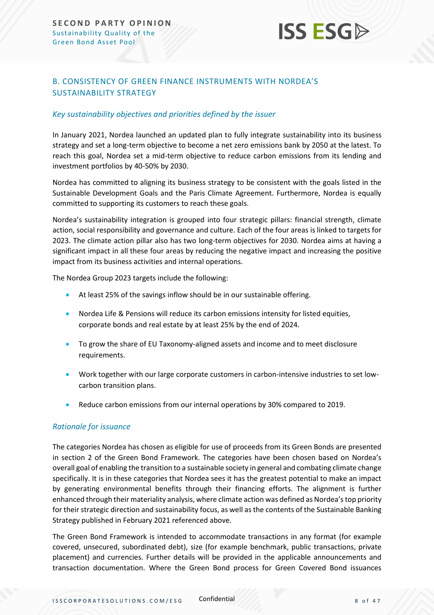# **ISS ESG**

### <span id="page-7-0"></span>B. CONSISTENCY OF GREEN FINANCE INSTRUMENTS WITH NORDEA'S SUSTAINABILITY STRATEGY

### *Key sustainability objectives and priorities defined by the issuer*

In January 2021, Nordea launched an updated plan to fully integrate sustainability into its business strategy and set a long-term objective to become a net zero emissions bank by 2050 at the latest. To reach this goal, Nordea set a mid-term objective to reduce carbon emissions from its lending and investment portfolios by 40-50% by 2030.

Nordea has committed to aligning its business strategy to be consistent with the goals listed in the Sustainable Development Goals and the Paris Climate Agreement. Furthermore, Nordea is equally committed to supporting its customers to reach these goals.

Nordea's sustainability integration is grouped into four strategic pillars: financial strength, climate action, social responsibility and governance and culture. Each of the four areas is linked to targets for 2023. The climate action pillar also has two long-term objectives for 2030. Nordea aims at having a significant impact in all these four areas by reducing the negative impact and increasing the positive impact from its business activities and internal operations.

The Nordea Group 2023 targets include the following:

- At least 25% of the savings inflow should be in our sustainable offering.
- Nordea Life & Pensions will reduce its carbon emissions intensity for listed equities, corporate bonds and real estate by at least 25% by the end of 2024.
- To grow the share of EU Taxonomy-aligned assets and income and to meet disclosure requirements.
- Work together with our large corporate customers in carbon-intensive industries to set lowcarbon transition plans.
- Reduce carbon emissions from our internal operations by 30% compared to 2019.

### *Rationale for issuance*

The categories Nordea has chosen as eligible for use of proceeds from its Green Bonds are presented in section 2 of the Green Bond Framework. The categories have been chosen based on Nordea's overall goal of enabling the transition to a sustainable society in general and combating climate change specifically. It is in these categories that Nordea sees it has the greatest potential to make an impact by generating environmental benefits through their financing efforts. The alignment is further enhanced through their materiality analysis, where climate action was defined as Nordea's top priority for their strategic direction and sustainability focus, as well as the contents of the Sustainable Banking Strategy published in February 2021 referenced above.

The Green Bond Framework is intended to accommodate transactions in any format (for example covered, unsecured, subordinated debt), size (for example benchmark, public transactions, private placement) and currencies. Further details will be provided in the applicable announcements and transaction documentation. Where the Green Bond process for Green Covered Bond issuances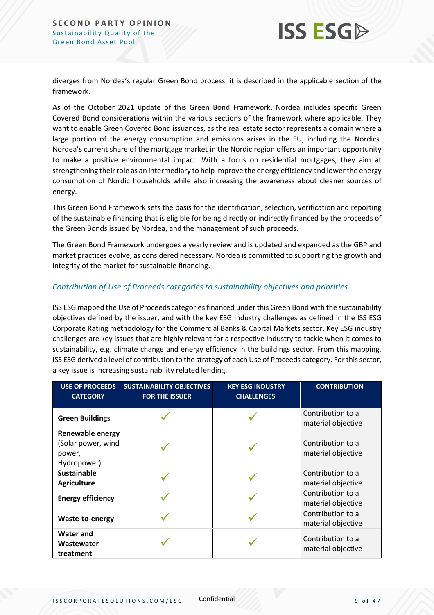

diverges from Nordea's regular Green Bond process, it is described in the applicable section of the framework.

As of the October 2021 update of this Green Bond Framework, Nordea includes specific Green Covered Bond considerations within the various sections of the framework where applicable. They want to enable Green Covered Bond issuances, as the real estate sector represents a domain where a large portion of the energy consumption and emissions arises in the EU, including the Nordics. Nordea's current share of the mortgage market in the Nordic region offers an important opportunity to make a positive environmental impact. With a focus on residential mortgages, they aim at strengthening their role as an intermediary to help improve the energy efficiency and lower the energy consumption of Nordic households while also increasing the awareness about cleaner sources of energy.

This Green Bond Framework sets the basis for the identification, selection, verification and reporting of the sustainable financing that is eligible for being directly or indirectly financed by the proceeds of the Green Bonds issued by Nordea, and the management of such proceeds.

The Green Bond Framework undergoes a yearly review and is updated and expanded as the GBP and market practices evolve, as considered necessary. Nordea is committed to supporting the growth and integrity of the market for sustainable financing.

### *Contribution of Use of Proceeds categories to sustainability objectives and priorities*

ISS ESG mapped the Use of Proceeds categories financed under this Green Bond with the sustainability objectives defined by the issuer, and with the key ESG industry challenges as defined in the ISS ESG Corporate Rating methodology for the Commercial Banks & Capital Markets sector. Key ESG industry challenges are key issues that are highly relevant for a respective industry to tackle when it comes to sustainability, e.g. climate change and energy efficiency in the buildings sector. From this mapping, ISS ESG derived a level of contribution to the strategy of each Use of Proceeds category. For this sector, a key issue is increasing sustainability related lending.

| <b>USE OF PROCEEDS</b><br><b>CATEGORY</b>                              | <b>SUSTAINABILITY OBJECTIVES</b><br><b>FOR THE ISSUER</b> | <b>KEY ESG INDUSTRY</b><br><b>CHALLENGES</b> | <b>CONTRIBUTION</b>                     |
|------------------------------------------------------------------------|-----------------------------------------------------------|----------------------------------------------|-----------------------------------------|
| <b>Green Buildings</b>                                                 |                                                           |                                              | Contribution to a<br>material objective |
| <b>Renewable energy</b><br>(Solar power, wind<br>power,<br>Hydropower) |                                                           |                                              | Contribution to a<br>material objective |
| <b>Sustainable</b><br><b>Agriculture</b>                               |                                                           |                                              | Contribution to a<br>material objective |
| <b>Energy efficiency</b>                                               |                                                           |                                              | Contribution to a<br>material objective |
| Waste-to-energy                                                        |                                                           |                                              | Contribution to a<br>material objective |
| <b>Water and</b><br>Wastewater<br>treatment                            |                                                           |                                              | Contribution to a<br>material objective |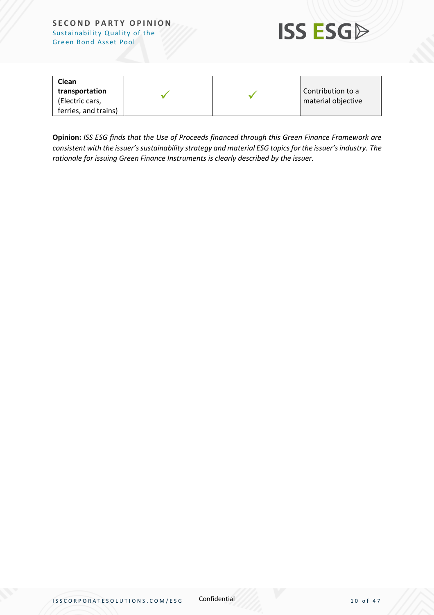

| Clean                             |  |                                         |
|-----------------------------------|--|-----------------------------------------|
| transportation<br>(Electric cars, |  | Contribution to a<br>material objective |
| ferries, and trains)              |  |                                         |

**Opinion:** *ISS ESG finds that the Use of Proceeds financed through this Green Finance Framework are consistent with the issuer's sustainability strategy and material ESG topics for the issuer's industry. The rationale for issuing Green Finance Instruments is clearly described by the issuer.*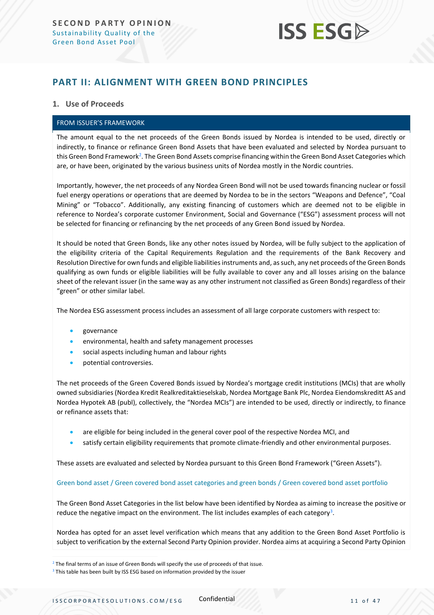# **ISS ESG**

### <span id="page-10-0"></span>**PART II: ALIGNMENT WITH GREEN BOND PRINCIPLES**

### **1. Use of Proceeds**

#### FROM ISSUER'S FRAMEWORK

The amount equal to the net proceeds of the Green Bonds issued by Nordea is intended to be used, directly or indirectly, to finance or refinance Green Bond Assets that have been evaluated and selected by Nordea pursuant to this Green Bond Framework<sup>2</sup>. The Green Bond Assets comprise financing within the Green Bond Asset Categories which are, or have been, originated by the various business units of Nordea mostly in the Nordic countries.

Importantly, however, the net proceeds of any Nordea Green Bond will not be used towards financing nuclear or fossil fuel energy operations or operations that are deemed by Nordea to be in the sectors "Weapons and Defence", "Coal Mining" or "Tobacco". Additionally, any existing financing of customers which are deemed not to be eligible in reference to Nordea's corporate customer Environment, Social and Governance ("ESG") assessment process will not be selected for financing or refinancing by the net proceeds of any Green Bond issued by Nordea.

It should be noted that Green Bonds, like any other notes issued by Nordea, will be fully subject to the application of the eligibility criteria of the Capital Requirements Regulation and the requirements of the Bank Recovery and Resolution Directive for own funds and eligible liabilities instruments and, as such, any net proceeds of the Green Bonds qualifying as own funds or eligible liabilities will be fully available to cover any and all losses arising on the balance sheet of the relevant issuer (in the same way as any other instrument not classified as Green Bonds) regardless of their "green" or other similar label.

The Nordea ESG assessment process includes an assessment of all large corporate customers with respect to:

- governance
- environmental, health and safety management processes
- social aspects including human and labour rights
- potential controversies.

The net proceeds of the Green Covered Bonds issued by Nordea's mortgage credit institutions (MCIs) that are wholly owned subsidiaries (Nordea Kredit Realkreditaktieselskab, Nordea Mortgage Bank Plc, Nordea Eiendomskreditt AS and Nordea Hypotek AB (publ), collectively, the "Nordea MCIs") are intended to be used, directly or indirectly, to finance or refinance assets that:

- are eligible for being included in the general cover pool of the respective Nordea MCI, and
- satisfy certain eligibility requirements that promote climate-friendly and other environmental purposes.

These assets are evaluated and selected by Nordea pursuant to this Green Bond Framework ("Green Assets").

#### Green bond asset / Green covered bond asset categories and green bonds / Green covered bond asset portfolio

The Green Bond Asset Categories in the list below have been identified by Nordea as aiming to increase the positive or reduce the negative impact on the environment. The list includes examples of each category<sup>3</sup>.

Nordea has opted for an asset level verification which means that any addition to the Green Bond Asset Portfolio is subject to verification by the external Second Party Opinion provider. Nordea aims at acquiring a Second Party Opinion

 $2$  The final terms of an issue of Green Bonds will specify the use of proceeds of that issue.

<sup>&</sup>lt;sup>3</sup> This table has been built by ISS ESG based on information provided by the issuer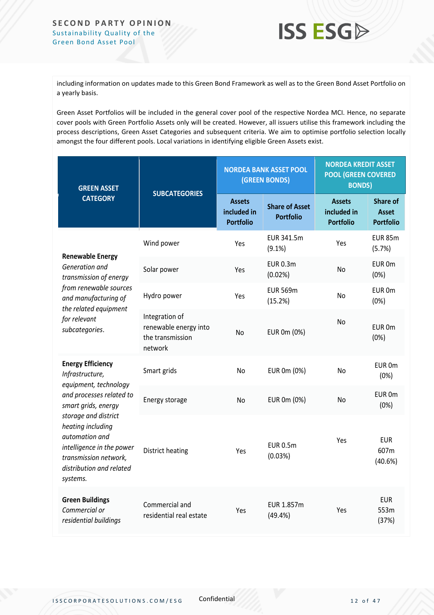

including information on updates made to this Green Bond Framework as well as to the Green Bond Asset Portfolio on a yearly basis.

Green Asset Portfolios will be included in the general cover pool of the respective Nordea MCI. Hence, no separate cover pools with Green Portfolio Assets only will be created. However, all issuers utilise this framework including the process descriptions, Green Asset Categories and subsequent criteria. We aim to optimise portfolio selection locally amongst the four different pools. Local variations in identifying eligible Green Assets exist.

| <b>GREEN ASSET</b>                                                                                                                                        |                                                                        | <b>NORDEA BANK ASSET POOL</b><br>(GREEN BONDS)   |                                           | <b>NORDEA KREDIT ASSET</b><br><b>POOL (GREEN COVERED</b><br><b>BONDS)</b> |                                                     |
|-----------------------------------------------------------------------------------------------------------------------------------------------------------|------------------------------------------------------------------------|--------------------------------------------------|-------------------------------------------|---------------------------------------------------------------------------|-----------------------------------------------------|
| <b>CATEGORY</b>                                                                                                                                           | <b>SUBCATEGORIES</b>                                                   | <b>Assets</b><br>included in<br><b>Portfolio</b> | <b>Share of Asset</b><br><b>Portfolio</b> | <b>Assets</b><br>included in<br><b>Portfolio</b>                          | <b>Share of</b><br><b>Asset</b><br><b>Portfolio</b> |
|                                                                                                                                                           | Wind power                                                             | Yes                                              | EUR 341.5m<br>$(9.1\%)$                   | Yes                                                                       | <b>EUR 85m</b><br>(5.7%)                            |
| <b>Renewable Energy</b><br>Generation and<br>transmission of energy                                                                                       | Solar power                                                            | Yes                                              | <b>EUR 0.3m</b><br>(0.02%)                | No                                                                        | EUR 0m<br>(0%)                                      |
| from renewable sources<br>and manufacturing of                                                                                                            | Hydro power                                                            | Yes                                              | <b>EUR 569m</b><br>(15.2%)                | No                                                                        | EUR 0m<br>(0%)                                      |
| the related equipment<br>for relevant<br>subcategories.                                                                                                   | Integration of<br>renewable energy into<br>the transmission<br>network | <b>No</b>                                        | EUR 0m (0%)                               | N <sub>o</sub>                                                            | EUR 0m<br>(0%)                                      |
| <b>Energy Efficiency</b><br>Infrastructure,                                                                                                               | Smart grids                                                            | No                                               | EUR 0m (0%)                               | No                                                                        | EUR 0m<br>(0%)                                      |
| equipment, technology<br>and processes related to<br>smart grids, energy                                                                                  | Energy storage                                                         | No                                               | EUR 0m (0%)                               | No.                                                                       | EUR 0m<br>(0%)                                      |
| storage and district<br>heating including<br>automation and<br>intelligence in the power<br>transmission network,<br>distribution and related<br>systems. | <b>District heating</b>                                                | Yes                                              | <b>EUR 0.5m</b><br>(0.03%)                | Yes                                                                       | <b>EUR</b><br>607m<br>(40.6%)                       |
| <b>Green Buildings</b><br>Commercial or<br>residential buildings                                                                                          | Commercial and<br>residential real estate                              | Yes                                              | EUR 1.857m<br>(49.4% )                    | Yes                                                                       | <b>EUR</b><br>553m<br>(37%)                         |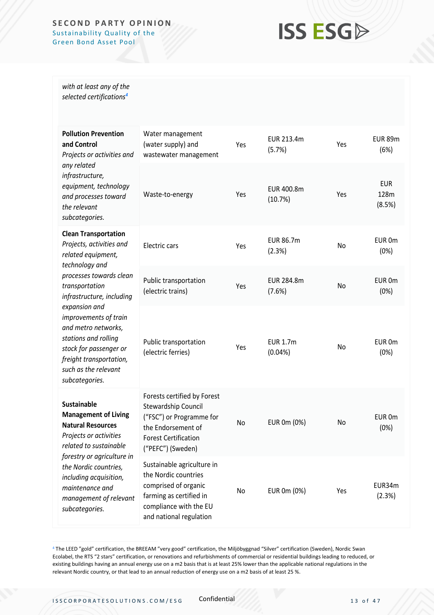## **ISS ESG**

*with at least any of the selected certifications<sup>4</sup>*

| <b>Pollution Prevention</b><br>and Control<br>Projects or activities and<br>any related<br>infrastructure,<br>equipment, technology<br>and processes toward<br>the relevant<br>subcategories.                                                                                     | Water management<br>(water supply) and<br>wastewater management                                                                                            | Yes | EUR 213.4m<br>(5.7%)          | Yes | <b>EUR 89m</b><br>(6%)       |
|-----------------------------------------------------------------------------------------------------------------------------------------------------------------------------------------------------------------------------------------------------------------------------------|------------------------------------------------------------------------------------------------------------------------------------------------------------|-----|-------------------------------|-----|------------------------------|
|                                                                                                                                                                                                                                                                                   | Waste-to-energy                                                                                                                                            | Yes | EUR 400.8m<br>(10.7%)         | Yes | <b>EUR</b><br>128m<br>(8.5%) |
| <b>Clean Transportation</b><br>Projects, activities and<br>related equipment,                                                                                                                                                                                                     | Electric cars                                                                                                                                              | Yes | <b>EUR 86.7m</b><br>(2.3%)    | No  | EUR 0m<br>(0%)               |
| technology and<br>processes towards clean<br>transportation<br>infrastructure, including<br>expansion and<br>improvements of train<br>and metro networks,<br>stations and rolling<br>stock for passenger or<br>freight transportation,<br>such as the relevant<br>subcategories.  | Public transportation<br>(electric trains)                                                                                                                 | Yes | EUR 284.8m<br>(7.6%)          | No  | EUR 0m<br>(0%)               |
|                                                                                                                                                                                                                                                                                   | Public transportation<br>(electric ferries)                                                                                                                | Yes | <b>EUR 1.7m</b><br>$(0.04\%)$ | No  | EUR 0m<br>(0%)               |
| <b>Sustainable</b><br><b>Management of Living</b><br><b>Natural Resources</b><br>Projects or activities<br>related to sustainable<br>forestry or agriculture in<br>the Nordic countries,<br>including acquisition,<br>maintenance and<br>management of relevant<br>subcategories. | Forests certified by Forest<br>Stewardship Council<br>("FSC") or Programme for<br>the Endorsement of<br><b>Forest Certification</b><br>("PEFC") (Sweden)   | No  | EUR 0m (0%)                   | No  | EUR 0m<br>(0%)               |
|                                                                                                                                                                                                                                                                                   | Sustainable agriculture in<br>the Nordic countries<br>comprised of organic<br>farming as certified in<br>compliance with the EU<br>and national regulation | No  | EUR 0m (0%)                   | Yes | EUR34m<br>(2.3%)             |

<sup>4</sup> The LEED "gold" certification, the BREEAM "very good" certification, the Miljöbyggnad "Silver" certification (Sweden), Nordic Swan Ecolabel, the RTS "2 stars" certification, or renovations and refurbishments of commercial or residential buildings leading to reduced, or existing buildings having an annual energy use on a m2 basis that is at least 25% lower than the applicable national regulations in the relevant Nordic country, or that lead to an annual reduction of energy use on a m2 basis of at least 25 %.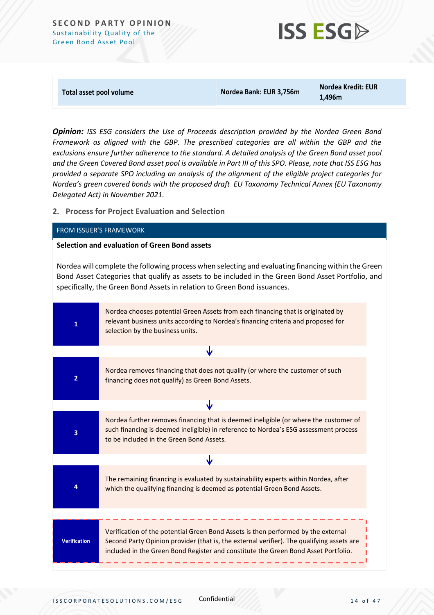

**Total asset pool volume Nordea Bank: EUR 3,756m** 

**Nordea Kredit: EUR 1,496m**

*Opinion: ISS ESG considers the Use of Proceeds description provided by the Nordea Green Bond Framework as aligned with the GBP. The prescribed categories are all within the GBP and the exclusions ensure further adherence to the standard. A detailed analysis of the Green Bond asset pool and the Green Covered Bond asset pool is available in Part III of this SPO. Please, note that ISS ESG has provided a separate SPO including an analysis of the alignment of the eligible project categories for Nordea's green covered bonds with the proposed draft EU Taxonomy Technical Annex (EU Taxonomy Delegated Act) in November 2021.*

**2. Process for Project Evaluation and Selection**

### FROM ISSUER'S FRAMEWORK

### **Selection and evaluation of Green Bond assets**

Nordea will complete the following process when selecting and evaluating financing within the Green Bond Asset Categories that qualify as assets to be included in the Green Bond Asset Portfolio, and specifically, the Green Bond Assets in relation to Green Bond issuances.

| Nordea chooses potential Green Assets from each financing that is originated by<br>relevant business units according to Nordea's financing criteria and proposed for<br>selection by the business units.                                                             |
|----------------------------------------------------------------------------------------------------------------------------------------------------------------------------------------------------------------------------------------------------------------------|
|                                                                                                                                                                                                                                                                      |
| Nordea removes financing that does not qualify (or where the customer of such<br>financing does not qualify) as Green Bond Assets.                                                                                                                                   |
| ₩                                                                                                                                                                                                                                                                    |
| Nordea further removes financing that is deemed ineligible (or where the customer of<br>such financing is deemed ineligible) in reference to Nordea's ESG assessment process<br>to be included in the Green Bond Assets.                                             |
| J                                                                                                                                                                                                                                                                    |
| The remaining financing is evaluated by sustainability experts within Nordea, after<br>which the qualifying financing is deemed as potential Green Bond Assets.                                                                                                      |
|                                                                                                                                                                                                                                                                      |
| Verification of the potential Green Bond Assets is then performed by the external<br>Second Party Opinion provider (that is, the external verifier). The qualifying assets are<br>included in the Green Bond Register and constitute the Green Bond Asset Portfolio. |
|                                                                                                                                                                                                                                                                      |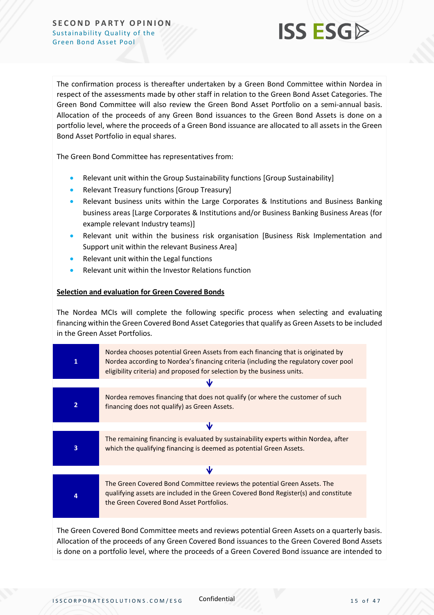

The confirmation process is thereafter undertaken by a Green Bond Committee within Nordea in respect of the assessments made by other staff in relation to the Green Bond Asset Categories. The Green Bond Committee will also review the Green Bond Asset Portfolio on a semi-annual basis. Allocation of the proceeds of any Green Bond issuances to the Green Bond Assets is done on a portfolio level, where the proceeds of a Green Bond issuance are allocated to all assets in the Green Bond Asset Portfolio in equal shares.

The Green Bond Committee has representatives from:

- Relevant unit within the Group Sustainability functions [Group Sustainability]
- Relevant Treasury functions [Group Treasury]
- Relevant business units within the Large Corporates & Institutions and Business Banking business areas [Large Corporates & Institutions and/or Business Banking Business Areas (for example relevant Industry teams)]
- Relevant unit within the business risk organisation [Business Risk Implementation and Support unit within the relevant Business Area]
- Relevant unit within the Legal functions
- Relevant unit within the Investor Relations function

### **Selection and evaluation for Green Covered Bonds**

The Nordea MCIs will complete the following specific process when selecting and evaluating financing within the Green Covered Bond Asset Categories that qualify as Green Assets to be included in the Green Asset Portfolios.

| 1                       | Nordea chooses potential Green Assets from each financing that is originated by<br>Nordea according to Nordea's financing criteria (including the regulatory cover pool<br>eligibility criteria) and proposed for selection by the business units. |  |  |  |  |
|-------------------------|----------------------------------------------------------------------------------------------------------------------------------------------------------------------------------------------------------------------------------------------------|--|--|--|--|
|                         |                                                                                                                                                                                                                                                    |  |  |  |  |
| $\overline{2}$          | Nordea removes financing that does not qualify (or where the customer of such<br>financing does not qualify) as Green Assets.                                                                                                                      |  |  |  |  |
|                         | Ŵ                                                                                                                                                                                                                                                  |  |  |  |  |
| $\overline{\mathbf{3}}$ | The remaining financing is evaluated by sustainability experts within Nordea, after<br>which the qualifying financing is deemed as potential Green Assets.                                                                                         |  |  |  |  |
|                         | Ŵ                                                                                                                                                                                                                                                  |  |  |  |  |
| 4                       | The Green Covered Bond Committee reviews the potential Green Assets. The<br>qualifying assets are included in the Green Covered Bond Register(s) and constitute<br>the Green Covered Bond Asset Portfolios.                                        |  |  |  |  |
|                         |                                                                                                                                                                                                                                                    |  |  |  |  |

The Green Covered Bond Committee meets and reviews potential Green Assets on a quarterly basis. Allocation of the proceeds of any Green Covered Bond issuances to the Green Covered Bond Assets is done on a portfolio level, where the proceeds of a Green Covered Bond issuance are intended to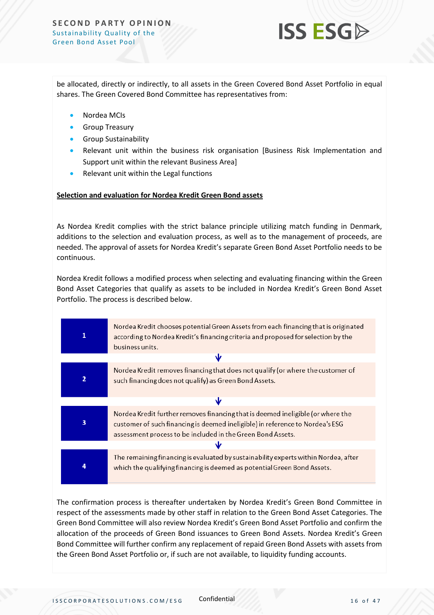

be allocated, directly or indirectly, to all assets in the Green Covered Bond Asset Portfolio in equal shares. The Green Covered Bond Committee has representatives from:

- Nordea MCIs
- Group Treasury
- Group Sustainability
- Relevant unit within the business risk organisation [Business Risk Implementation and Support unit within the relevant Business Area]
- Relevant unit within the Legal functions

### **Selection and evaluation for Nordea Kredit Green Bond assets**

As Nordea Kredit complies with the strict balance principle utilizing match funding in Denmark, additions to the selection and evaluation process, as well as to the management of proceeds, are needed. The approval of assets for Nordea Kredit's separate Green Bond Asset Portfolio needs to be continuous.

Nordea Kredit follows a modified process when selecting and evaluating financing within the Green Bond Asset Categories that qualify as assets to be included in Nordea Kredit's Green Bond Asset Portfolio. The process is described below.

|   | Nordea Kredit chooses potential Green Assets from each financing that is originated<br>according to Nordea Kredit's financing criteria and proposed for selection by the<br>business units.                                     |  |  |
|---|---------------------------------------------------------------------------------------------------------------------------------------------------------------------------------------------------------------------------------|--|--|
|   | s                                                                                                                                                                                                                               |  |  |
| 2 | Nordea Kredit removes financing that does not qualify (or where the customer of<br>such financing does not qualify) as Green Bond Assets.                                                                                       |  |  |
|   |                                                                                                                                                                                                                                 |  |  |
| 3 | Nordea Kredit further removes financing that is deemed ineligible (or where the<br>customer of such financing is deemed ineligible) in reference to Nordea's ESG<br>assessment process to be included in the Green Bond Assets. |  |  |
|   |                                                                                                                                                                                                                                 |  |  |
|   | The remaining financing is evaluated by sustainability experts within Nordea, after<br>which the qualifying financing is deemed as potential Green Bond Assets.                                                                 |  |  |

The confirmation process is thereafter undertaken by Nordea Kredit's Green Bond Committee in respect of the assessments made by other staff in relation to the Green Bond Asset Categories. The Green Bond Committee will also review Nordea Kredit's Green Bond Asset Portfolio and confirm the allocation of the proceeds of Green Bond issuances to Green Bond Assets. Nordea Kredit's Green Bond Committee will further confirm any replacement of repaid Green Bond Assets with assets from the Green Bond Asset Portfolio or, if such are not available, to liquidity funding accounts.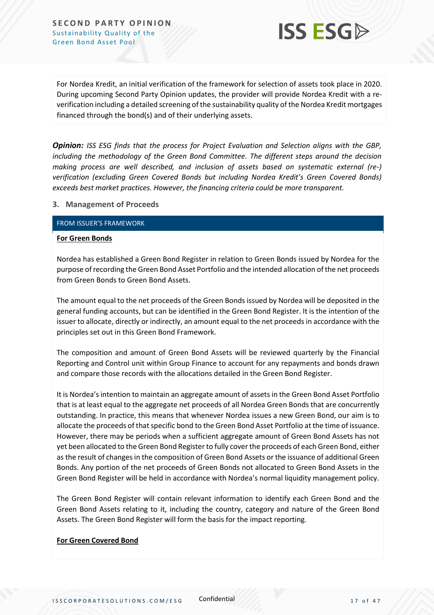

For Nordea Kredit, an initial verification of the framework for selection of assets took place in 2020. During upcoming Second Party Opinion updates, the provider will provide Nordea Kredit with a reverification including a detailed screening of the sustainability quality of the Nordea Kredit mortgages financed through the bond(s) and of their underlying assets.

*Opinion: ISS ESG finds that the process for Project Evaluation and Selection aligns with the GBP, including the methodology of the Green Bond Committee. The different steps around the decision making process are well described, and inclusion of assets based on systematic external (re-) verification (excluding Green Covered Bonds but including Nordea Kredit's Green Covered Bonds) exceeds best market practices. However, the financing criteria could be more transparent.*

### **3. Management of Proceeds**

### FROM ISSUER'S FRAMEWORK

#### **For Green Bonds**

Nordea has established a Green Bond Register in relation to Green Bonds issued by Nordea for the purpose of recording the Green Bond Asset Portfolio and the intended allocation of the net proceeds from Green Bonds to Green Bond Assets.

The amount equal to the net proceeds of the Green Bonds issued by Nordea will be deposited in the general funding accounts, but can be identified in the Green Bond Register. It is the intention of the issuer to allocate, directly or indirectly, an amount equal to the net proceeds in accordance with the principles set out in this Green Bond Framework.

The composition and amount of Green Bond Assets will be reviewed quarterly by the Financial Reporting and Control unit within Group Finance to account for any repayments and bonds drawn and compare those records with the allocations detailed in the Green Bond Register.

It is Nordea's intention to maintain an aggregate amount of assets in the Green Bond Asset Portfolio that is at least equal to the aggregate net proceeds of all Nordea Green Bonds that are concurrently outstanding. In practice, this means that whenever Nordea issues a new Green Bond, our aim is to allocate the proceeds of that specific bond to the Green Bond Asset Portfolio at the time of issuance. However, there may be periods when a sufficient aggregate amount of Green Bond Assets has not yet been allocated to the Green Bond Register to fully cover the proceeds of each Green Bond, either as the result of changes in the composition of Green Bond Assets or the issuance of additional Green Bonds. Any portion of the net proceeds of Green Bonds not allocated to Green Bond Assets in the Green Bond Register will be held in accordance with Nordea's normal liquidity management policy.

The Green Bond Register will contain relevant information to identify each Green Bond and the Green Bond Assets relating to it, including the country, category and nature of the Green Bond Assets. The Green Bond Register will form the basis for the impact reporting.

### **For Green Covered Bond**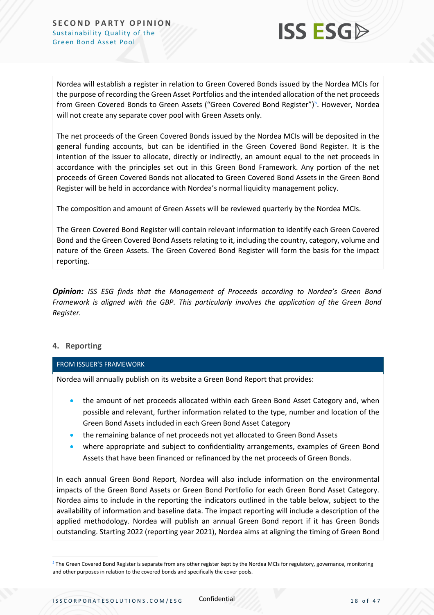

Nordea will establish a register in relation to Green Covered Bonds issued by the Nordea MCIs for the purpose of recording the Green Asset Portfolios and the intended allocation of the net proceeds from Green Covered Bonds to Green Assets ("Green Covered Bond Register")<sup>5</sup>. However, Nordea will not create any separate cover pool with Green Assets only.

The net proceeds of the Green Covered Bonds issued by the Nordea MCIs will be deposited in the general funding accounts, but can be identified in the Green Covered Bond Register. It is the intention of the issuer to allocate, directly or indirectly, an amount equal to the net proceeds in accordance with the principles set out in this Green Bond Framework. Any portion of the net proceeds of Green Covered Bonds not allocated to Green Covered Bond Assets in the Green Bond Register will be held in accordance with Nordea's normal liquidity management policy.

The composition and amount of Green Assets will be reviewed quarterly by the Nordea MCIs.

The Green Covered Bond Register will contain relevant information to identify each Green Covered Bond and the Green Covered Bond Assets relating to it, including the country, category, volume and nature of the Green Assets. The Green Covered Bond Register will form the basis for the impact reporting.

*Opinion: ISS ESG finds that the Management of Proceeds according to Nordea's Green Bond Framework is aligned with the GBP. This particularly involves the application of the Green Bond Register.*

### **4. Reporting**

### FROM ISSUER'S FRAMEWORK

Nordea will annually publish on its website a Green Bond Report that provides:

- the amount of net proceeds allocated within each Green Bond Asset Category and, when possible and relevant, further information related to the type, number and location of the Green Bond Assets included in each Green Bond Asset Category
- the remaining balance of net proceeds not yet allocated to Green Bond Assets
- where appropriate and subject to confidentiality arrangements, examples of Green Bond Assets that have been financed or refinanced by the net proceeds of Green Bonds.

In each annual Green Bond Report, Nordea will also include information on the environmental impacts of the Green Bond Assets or Green Bond Portfolio for each Green Bond Asset Category. Nordea aims to include in the reporting the indicators outlined in the table below, subject to the availability of information and baseline data. The impact reporting will include a description of the applied methodology. Nordea will publish an annual Green Bond report if it has Green Bonds outstanding. Starting 2022 (reporting year 2021), Nordea aims at aligning the timing of Green Bond

<sup>&</sup>lt;sup>5</sup> The Green Covered Bond Register is separate from any other register kept by the Nordea MCIs for regulatory, governance, monitoring and other purposes in relation to the covered bonds and specifically the cover pools.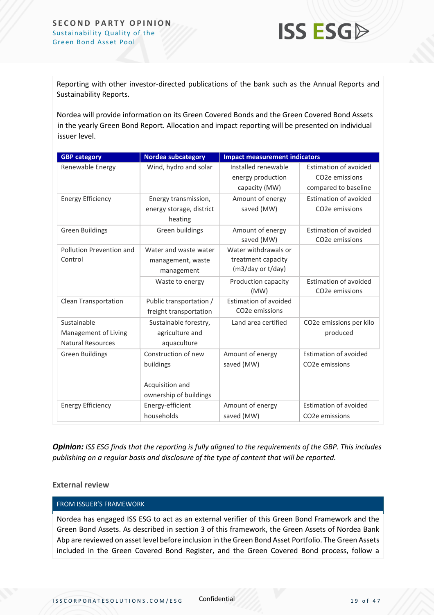

Reporting with other investor-directed publications of the bank such as the Annual Reports and Sustainability Reports.

Nordea will provide information on its Green Covered Bonds and the Green Covered Bond Assets in the yearly Green Bond Report. Allocation and impact reporting will be presented on individual issuer level.

| <b>GBP category</b>         | <b>Nordea subcategory</b> | <b>Impact measurement indicators</b> |                             |  |
|-----------------------------|---------------------------|--------------------------------------|-----------------------------|--|
| Renewable Energy            | Wind, hydro and solar     | Installed renewable                  | Estimation of avoided       |  |
|                             |                           | energy production                    | CO <sub>2</sub> e emissions |  |
|                             |                           | capacity (MW)                        | compared to baseline        |  |
| <b>Energy Efficiency</b>    | Energy transmission,      | Amount of energy                     | Estimation of avoided       |  |
|                             | energy storage, district  | saved (MW)                           | CO <sub>2</sub> e emissions |  |
|                             | heating                   |                                      |                             |  |
| <b>Green Buildings</b>      | Green buildings           | Amount of energy                     | Estimation of avoided       |  |
|                             |                           | saved (MW)                           | CO <sub>2</sub> e emissions |  |
| Pollution Prevention and    | Water and waste water     | Water withdrawals or                 |                             |  |
| Control                     | management, waste         | treatment capacity                   |                             |  |
|                             | management                | (m3/day or t/day)                    |                             |  |
|                             | Waste to energy           | Production capacity                  | Estimation of avoided       |  |
|                             |                           | (MW)                                 | CO <sub>2</sub> e emissions |  |
| <b>Clean Transportation</b> | Public transportation /   | Estimation of avoided                |                             |  |
|                             | freight transportation    | CO <sub>2</sub> e emissions          |                             |  |
| Sustainable                 | Sustainable forestry,     | Land area certified                  | CO2e emissions per kilo     |  |
| Management of Living        | agriculture and           |                                      | produced                    |  |
| <b>Natural Resources</b>    | aquaculture               |                                      |                             |  |
| <b>Green Buildings</b>      | Construction of new       | Amount of energy                     | Estimation of avoided       |  |
|                             | buildings                 | saved (MW)                           | CO <sub>2</sub> e emissions |  |
|                             |                           |                                      |                             |  |
|                             | Acquisition and           |                                      |                             |  |
|                             | ownership of buildings    |                                      |                             |  |
| <b>Energy Efficiency</b>    | Energy-efficient          | Amount of energy                     | Estimation of avoided       |  |
|                             | households                | saved (MW)                           | CO <sub>2</sub> e emissions |  |

*Opinion: ISS ESG finds that the reporting is fully aligned to the requirements of the GBP. This includes publishing on a regular basis and disclosure of the type of content that will be reported.*

### **External review**

#### FROM ISSUER'S FRAMEWORK

Nordea has engaged ISS ESG to act as an external verifier of this Green Bond Framework and the Green Bond Assets. As described in section 3 of this framework, the Green Assets of Nordea Bank Abp are reviewed on asset level before inclusion in the Green Bond Asset Portfolio. The Green Assets included in the Green Covered Bond Register, and the Green Covered Bond process, follow a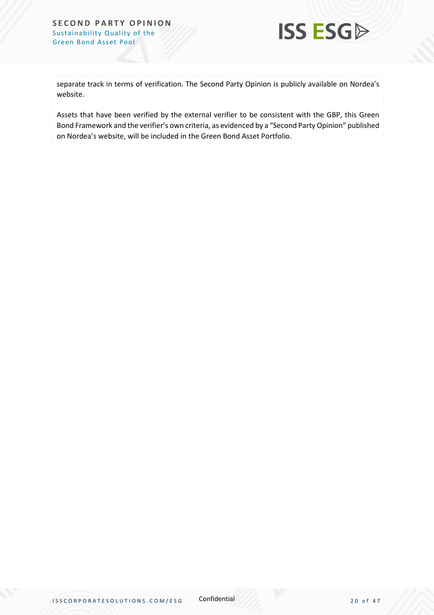

separate track in terms of verification. The Second Party Opinion is publicly available on Nordea's website.

Assets that have been verified by the external verifier to be consistent with the GBP, this Green Bond Framework and the verifier's own criteria, as evidenced by a "Second Party Opinion" published on Nordea's website, will be included in the Green Bond Asset Portfolio.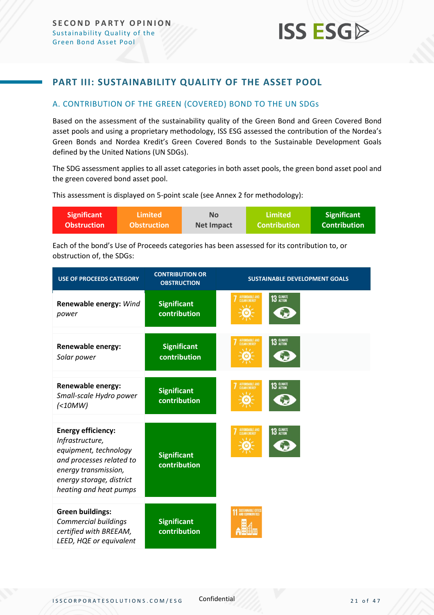### <span id="page-20-0"></span>**PART III: SUSTAINABILITY QUALITY OF THE ASSET POOL**

### <span id="page-20-1"></span>A. CONTRIBUTION OF THE GREEN (COVERED) BOND TO THE UN SDGs

Based on the assessment of the sustainability quality of the Green Bond and Green Covered Bond asset pools and using a proprietary methodology, ISS ESG assessed the contribution of the Nordea's Green Bonds and Nordea Kredit's Green Covered Bonds to the Sustainable Development Goals defined by the United Nations (UN SDGs).

The SDG assessment applies to all asset categories in both asset pools, the green bond asset pool and the green covered bond asset pool.

This assessment is displayed on 5-point scale (see Annex 2 for methodology):

| <b>Significant</b> | \Limited \         | <b>No</b>  | Limited             | <b>Significant</b>  |
|--------------------|--------------------|------------|---------------------|---------------------|
| <b>Obstruction</b> | <b>Obstruction</b> | Net Impact | <b>Contribution</b> | <b>Contribution</b> |

Each of the bond's Use of Proceeds categories has been assessed for its contribution to, or obstruction of, the SDGs:

| <b>USE OF PROCEEDS CATEGORY</b>                                                                                                                                                 | <b>CONTRIBUTION OR</b><br><b>OBSTRUCTION</b> | <b>SUSTAINABLE DEVELOPMENT GOALS</b>         |  |
|---------------------------------------------------------------------------------------------------------------------------------------------------------------------------------|----------------------------------------------|----------------------------------------------|--|
| Renewable energy: Wind<br>power                                                                                                                                                 | <b>Significant</b><br>contribution           | AFFORDABLE AND<br>CLEAN ENERGY<br>13 GLIMATE |  |
| <b>Renewable energy:</b><br>Solar power                                                                                                                                         | <b>Significant</b><br>contribution           | AFFORDABLE AND<br>CLEAN ENERGY<br>13 GLIMATE |  |
| <b>Renewable energy:</b><br>Small-scale Hydro power<br>$( \angle10MW)$                                                                                                          | <b>Significant</b><br>contribution           | AFFORDABLE AND<br>CLEAN ENERGY<br>13 GLIMATE |  |
| <b>Energy efficiency:</b><br>Infrastructure,<br>equipment, technology<br>and processes related to<br>energy transmission,<br>energy storage, district<br>heating and heat pumps | <b>Significant</b><br>contribution           | AFFORDABLE AND<br>CLEAN ENERGY<br>13 GLIMATE |  |
| <b>Green buildings:</b><br><b>Commercial buildings</b><br>certified with BREEAM,<br>LEED, HQE or equivalent                                                                     | <b>Significant</b><br>contribution           | <b>AND COMMUNITIES</b>                       |  |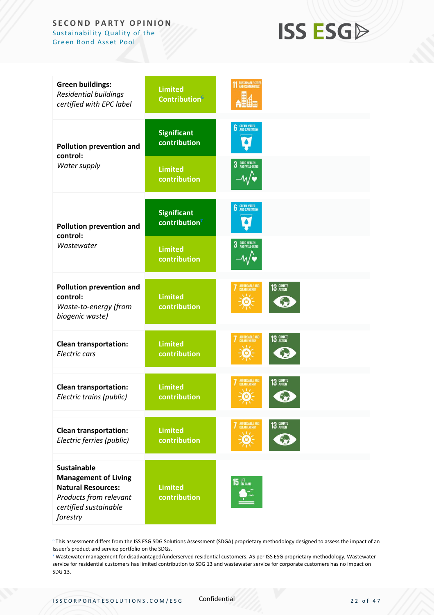## **ISS ESGA**

| <b>Green buildings:</b><br><b>Residential buildings</b><br>certified with EPC label                                                           | <b>Limited</b><br><b>Contribution</b> <sup>6</sup> | <b>SUSTAINABLE CITIE</b>                         |
|-----------------------------------------------------------------------------------------------------------------------------------------------|----------------------------------------------------|--------------------------------------------------|
| Pollution prevention and<br>control:                                                                                                          | <b>Significant</b><br>contribution                 | <b>6</b> CLEAN WATER                             |
| Water supply                                                                                                                                  | <b>Limited</b><br>contribution                     | <b>GOOD HEALTH<br/>AND WELL-BEING</b><br>3       |
| <b>Pollution prevention and</b><br>control:                                                                                                   | <b>Significant</b><br>contribution <sup>7</sup>    | <b>CLEAN WATER</b><br>AND SANITATION             |
| Wastewater                                                                                                                                    | <b>Limited</b><br>contribution                     | <b>GOOD HEALTH<br/>AND WELL-BEING</b><br>3       |
| Pollution prevention and<br>control:<br>Waste-to-energy (from<br>biogenic waste)                                                              | <b>Limited</b><br>contribution                     | AFFORDABLE AND<br>CLEAN ENERGY<br>13 GLIMATE     |
| <b>Clean transportation:</b><br>Electric cars                                                                                                 | <b>Limited</b><br>contribution                     | AFFORDABLE AND<br>13 GLIMATE                     |
| <b>Clean transportation:</b><br>Electric trains (public)                                                                                      | <b>Limited</b><br>contribution                     | 13 GLIMATE<br><b>FFORDABLE AND</b><br>$\sqrt{1}$ |
| <b>Clean transportation:</b><br>Electric ferries (public)                                                                                     | <b>Limited</b><br>contribution                     | AFFORDABLE AND<br>CLEAN ENERGY<br>13 GLIMATE     |
| <b>Sustainable</b><br><b>Management of Living</b><br><b>Natural Resources:</b><br>Products from relevant<br>certified sustainable<br>forestry | <b>Limited</b><br>contribution                     | <b>15 UFE</b> ON LAND                            |

<sup>6</sup> This assessment differs from the ISS ESG SDG Solutions Assessment (SDGA) proprietary methodology designed to assess the impact of an Issuer's product and service portfolio on the SDGs.

<sup>7</sup> Wastewater management for disadvantaged/underserved residential customers. AS per ISS ESG proprietary methodology, Wastewater service for residential customers has limited contribution to SDG 13 and wastewater service for corporate customers has no impact on SDG 13.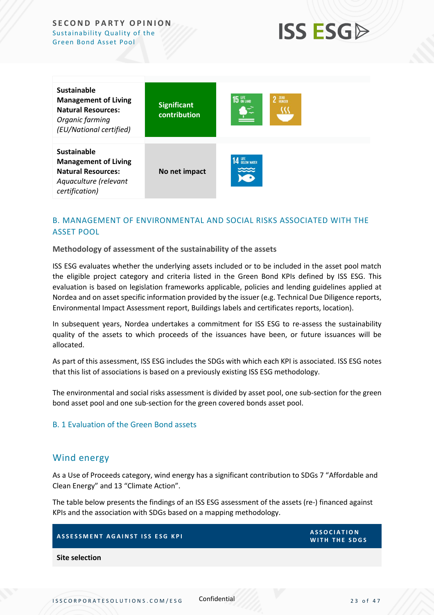

| Sustainable<br><b>Management of Living</b><br><b>Natural Resources:</b><br>Organic farming<br>(EU/National certified)     | <b>Significant</b><br>contribution | <b>15</b> UFE<br>2 ZERO |
|---------------------------------------------------------------------------------------------------------------------------|------------------------------------|-------------------------|
| <b>Sustainable</b><br><b>Management of Living</b><br><b>Natural Resources:</b><br>Aquaculture (relevant<br>certification) | No net impact                      | <b>14 LIFE</b> NATER    |

### <span id="page-22-0"></span>B. MANAGEMENT OF ENVIRONMENTAL AND SOCIAL RISKS ASSOCIATED WITH THE ASSET POOL

**Methodology of assessment of the sustainability of the assets**

ISS ESG evaluates whether the underlying assets included or to be included in the asset pool match the eligible project category and criteria listed in the Green Bond KPIs defined by ISS ESG. This evaluation is based on legislation frameworks applicable, policies and lending guidelines applied at Nordea and on asset specific information provided by the issuer (e.g. Technical Due Diligence reports, Environmental Impact Assessment report, Buildings labels and certificates reports, location).

In subsequent years, Nordea undertakes a commitment for ISS ESG to re-assess the sustainability quality of the assets to which proceeds of the issuances have been, or future issuances will be allocated.

As part of this assessment, ISS ESG includes the SDGs with which each KPI is associated. ISS ESG notes that this list of associations is based on a previously existing ISS ESG methodology.

The environmental and social risks assessment is divided by asset pool, one sub-section for the green bond asset pool and one sub-section for the green covered bonds asset pool.

### B. 1 Evaluation of the Green Bond assets

### <span id="page-22-1"></span>Wind energy

As a Use of Proceeds category, wind energy has a significant contribution to SDGs 7 "Affordable and Clean Energy" and 13 "Climate Action".

The table below presents the findings of an ISS ESG assessment of the assets (re-) financed against KPIs and the association with SDGs based on a mapping methodology.

| ASSESSMENT AGAINST ISS ESG KPI | <b>ASSOCIATION</b><br><b>WITH THE SDGS</b> |
|--------------------------------|--------------------------------------------|
| Site selection                 |                                            |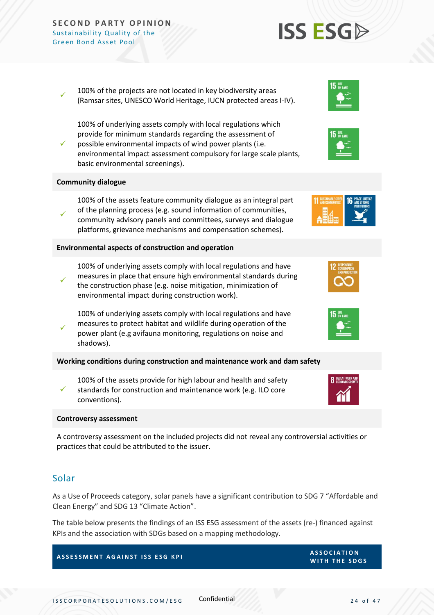✓ 100% of the projects are not located in key biodiversity areas (Ramsar sites, UNESCO World Heritage, IUCN protected areas I-IV).

✓ 100% of underlying assets comply with local regulations which provide for minimum standards regarding the assessment of possible environmental impacts of wind power plants (i.e. environmental impact assessment compulsory for large scale plants, basic environmental screenings).

### **Community dialogue**

100% of the assets feature community dialogue as an integral part of the planning process (e.g. sound information of communities,

✓ community advisory panels and committees, surveys and dialogue platforms, grievance mechanisms and compensation schemes).

### **Environmental aspects of construction and operation**

✓ 100% of underlying assets comply with local regulations and have measures in place that ensure high environmental standards during the construction phase (e.g. noise mitigation, minimization of environmental impact during construction work).

100% of underlying assets comply with local regulations and have measures to protect habitat and wildlife during operation of the power plant (e.g avifauna monitoring, regulations on noise and shadows).

**Working conditions during construction and maintenance work and dam safety**

✓ 100% of the assets provide for high labour and health and safety standards for construction and maintenance work (e.g. ILO core conventions).

#### **Controversy assessment**

A controversy assessment on the included projects did not reveal any controversial activities or practices that could be attributed to the issuer.

### <span id="page-23-0"></span>Solar

✓

As a Use of Proceeds category, solar panels have a significant contribution to SDG 7 "Affordable and Clean Energy" and SDG 13 "Climate Action".

The table below presents the findings of an ISS ESG assessment of the assets (re-) financed against KPIs and the association with SDGs based on a mapping methodology.

### **ASSESSMENT AGAINST ISS ESG KPI ASSESSMENT AGAINST ISS ESG KPI**











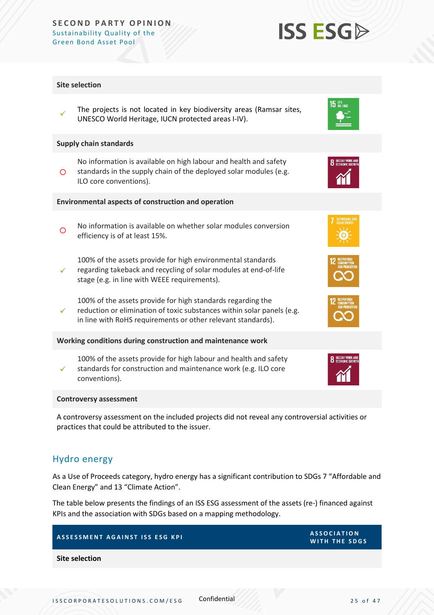### **Site selection**

✓ The projects is not located in key biodiversity areas (Ramsar sites, UNESCO World Heritage, IUCN protected areas I-IV).

### **Supply chain standards**

 $\circ$ No information is available on high labour and health and safety standards in the supply chain of the deployed solar modules (e.g. ILO core conventions).

### **Environmental aspects of construction and operation**

- $\circ$ No information is available on whether solar modules conversion efficiency is of at least 15%.
	- 100% of the assets provide for high environmental standards
- ✓ regarding takeback and recycling of solar modules at end-of-life stage (e.g. in line with WEEE requirements).
	- 100% of the assets provide for high standards regarding the
- ✓ reduction or elimination of toxic substances within solar panels (e.g. in line with RoHS requirements or other relevant standards).

#### **Working conditions during construction and maintenance work**

✓ 100% of the assets provide for high labour and health and safety standards for construction and maintenance work (e.g. ILO core conventions).

#### **Controversy assessment**

A controversy assessment on the included projects did not reveal any controversial activities or practices that could be attributed to the issuer.

### <span id="page-24-0"></span>Hydro energy

As a Use of Proceeds category, hydro energy has a significant contribution to SDGs 7 "Affordable and Clean Energy" and 13 "Climate Action".

The table below presents the findings of an ISS ESG assessment of the assets (re-) financed against KPIs and the association with SDGs based on a mapping methodology.

## **A S S E S S M E N T A G A I N S T I S S E S G K P I A S S O C I A T I O N**

**Site selection**





 $15$  an land







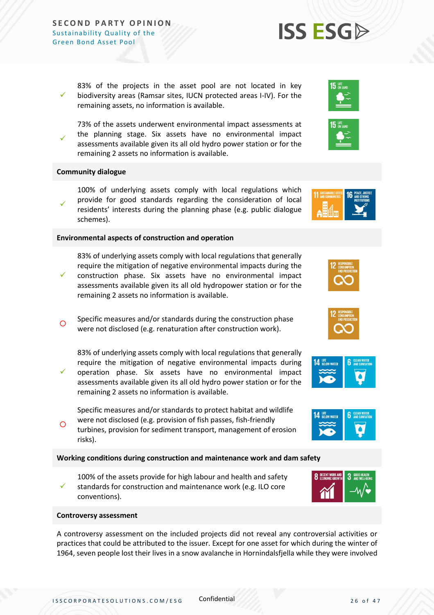✓ 83% of the projects in the asset pool are not located in key biodiversity areas (Ramsar sites, IUCN protected areas I-IV). For the remaining assets, no information is available.

✓ 73% of the assets underwent environmental impact assessments at the planning stage. Six assets have no environmental impact assessments available given its all old hydro power station or for the remaining 2 assets no information is available.

### **Community dialogue**

✓

✓

✓ 100% of underlying assets comply with local regulations which provide for good standards regarding the consideration of local residents' interests during the planning phase (e.g. public dialogue schemes).

### **Environmental aspects of construction and operation**

83% of underlying assets comply with local regulations that generally require the mitigation of negative environmental impacts during the construction phase. Six assets have no environmental impact

- assessments available given its all old hydropower station or for the remaining 2 assets no information is available.
- $\circ$ Specific measures and/or standards during the construction phase were not disclosed (e.g. renaturation after construction work).

83% of underlying assets comply with local regulations that generally require the mitigation of negative environmental impacts during operation phase. Six assets have no environmental impact

assessments available given its all old hydro power station or for the remaining 2 assets no information is available.

Specific measures and/or standards to protect habitat and wildlife were not disclosed (e.g. provision of fish passes, fish-friendly

 $\circ$ turbines, provision for sediment transport, management of erosion risks).

### **Working conditions during construction and maintenance work and dam safety**

✓ 100% of the assets provide for high labour and health and safety standards for construction and maintenance work (e.g. ILO core conventions).

#### **Controversy assessment**

A controversy assessment on the included projects did not reveal any controversial activities or practices that could be attributed to the issuer. Except for one asset for which during the winter of 1964, seven people lost their lives in a snow avalanche in Hornindalsfjella while they were involved







**8** DECENT WORK A









**3** GOOD HEALTH

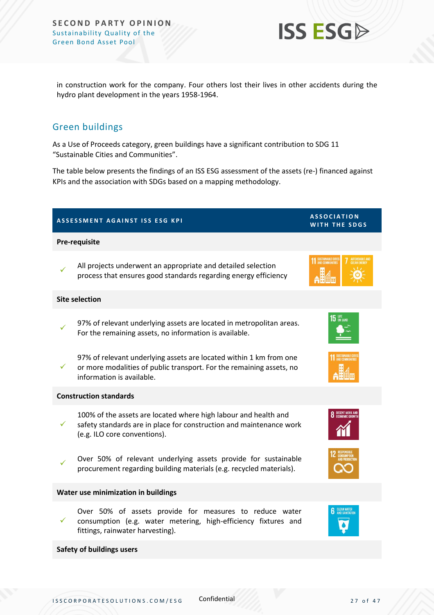

in construction work for the company. Four others lost their lives in other accidents during the hydro plant development in the years 1958-1964.

### <span id="page-26-0"></span>Green buildings

As a Use of Proceeds category, green buildings have a significant contribution to SDG 11 "Sustainable Cities and Communities".

The table below presents the findings of an ISS ESG assessment of the assets (re-) financed against KPIs and the association with SDGs based on a mapping methodology.

| ASSESSMENT AGAINST ISS ESG KPI |                                                                                                                                                                         | <b>ASSOCIATION</b><br>WITH THE SDGS  |
|--------------------------------|-------------------------------------------------------------------------------------------------------------------------------------------------------------------------|--------------------------------------|
| <b>Pre-requisite</b>           |                                                                                                                                                                         |                                      |
|                                | All projects underwent an appropriate and detailed selection<br>process that ensures good standards regarding energy efficiency                                         | <b>11 SUSTAINABLE CITTE:</b>         |
| <b>Site selection</b>          |                                                                                                                                                                         |                                      |
|                                | 97% of relevant underlying assets are located in metropolitan areas.<br>For the remaining assets, no information is available.                                          | $15$ ON LAND                         |
| $\checkmark$                   | 97% of relevant underlying assets are located within 1 km from one<br>or more modalities of public transport. For the remaining assets, no<br>information is available. |                                      |
|                                | <b>Construction standards</b>                                                                                                                                           |                                      |
| ✓                              | 100% of the assets are located where high labour and health and<br>safety standards are in place for construction and maintenance work<br>(e.g. ILO core conventions).  | <b>8</b> DECENT WORK AND             |
|                                | Over 50% of relevant underlying assets provide for sustainable<br>procurement regarding building materials (e.g. recycled materials).                                   |                                      |
|                                | Water use minimization in buildings                                                                                                                                     |                                      |
| $\checkmark$                   | Over 50% of assets provide for measures to reduce water<br>consumption (e.g. water metering, high-efficiency fixtures and<br>fittings, rainwater harvesting).           | <b>CLEAN WATER</b><br>AND SANITATION |
|                                | <b>Safety of buildings users</b>                                                                                                                                        |                                      |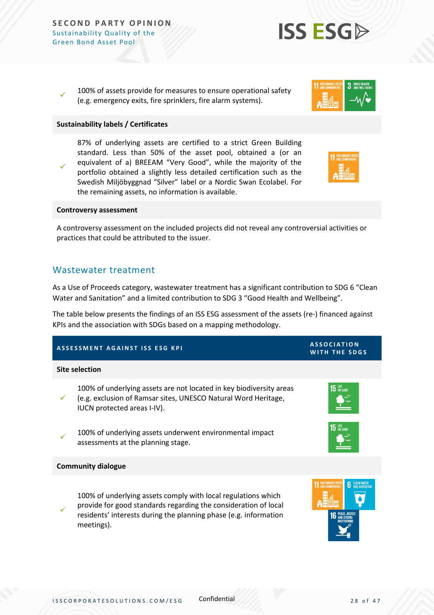✓ 100% of assets provide for measures to ensure operational safety (e.g. emergency exits, fire sprinklers, fire alarm systems).

### **Sustainability labels / Certificates**

✓ 87% of underlying assets are certified to a strict Green Building standard. Less than 50% of the asset pool, obtained a (or an equivalent of a) BREEAM "Very Good", while the majority of the portfolio obtained a slightly less detailed certification such as the Swedish Miljöbyggnad "Silver" label or a Nordic Swan Ecolabel. For the remaining assets, no information is available.

### **Controversy assessment**

A controversy assessment on the included projects did not reveal any controversial activities or practices that could be attributed to the issuer.

### <span id="page-27-0"></span>Wastewater treatment

As a Use of Proceeds category, wastewater treatment has a significant contribution to SDG 6 "Clean Water and Sanitation" and a limited contribution to SDG 3 "Good Health and Wellbeing".

The table below presents the findings of an ISS ESG assessment of the assets (re-) financed against KPIs and the association with SDGs based on a mapping methodology.

## **A S S E S S M E N T A G A I N S T I S S E S G K P I A S S O C I A T I O N WITH THE SDGS Site selection** ✓ 100% of underlying assets are not located in key biodiversity areas (e.g. exclusion of Ramsar sites, UNESCO Natural Word Heritage, IUCN protected areas I-IV). ✓ 100% of underlying assets underwent environmental impact assessments at the planning stage. **Community dialogue** ✓ 100% of underlying assets comply with local regulations which provide for good standards regarding the consideration of local residents' interests during the planning phase (e.g. information meetings).



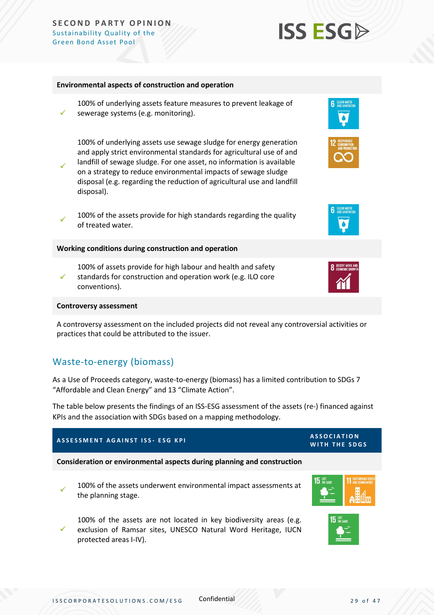#### **Environmental aspects of construction and operation**

✓ 100% of underlying assets feature measures to prevent leakage of sewerage systems (e.g. monitoring).

100% of underlying assets use sewage sludge for energy generation and apply strict environmental standards for agricultural use of and landfill of sewage sludge. For one asset, no information is available

- ✓ on a strategy to reduce environmental impacts of sewage sludge disposal (e.g. regarding the reduction of agricultural use and landfill disposal).
- ✓ 100% of the assets provide for high standards regarding the quality of treated water.

**Working conditions during construction and operation**

✓ 100% of assets provide for high labour and health and safety standards for construction and operation work (e.g. ILO core conventions).

#### **Controversy assessment**

A controversy assessment on the included projects did not reveal any controversial activities or practices that could be attributed to the issuer.

### <span id="page-28-0"></span>Waste-to-energy (biomass)

As a Use of Proceeds category, waste-to-energy (biomass) has a limited contribution to SDGs 7 "Affordable and Clean Energy" and 13 "Climate Action".

The table below presents the findings of an ISS-ESG assessment of the assets (re-) financed against KPIs and the association with SDGs based on a mapping methodology.

## **A S S E S S M E N T A G A I N S T I S S - E S G K P I A S S O C I A T I O N**

✓

**Consideration or environmental aspects during planning and construction**

100% of the assets underwent environmental impact assessments at the planning stage.

✓ 100% of the assets are not located in key biodiversity areas (e.g. exclusion of Ramsar sites, UNESCO Natural Word Heritage, IUCN protected areas I-IV).



**15** UFE









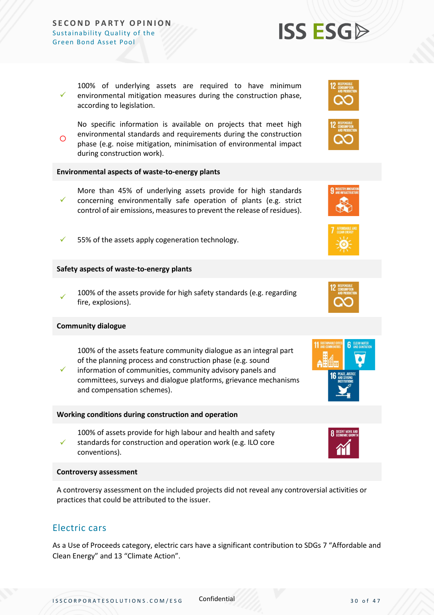✓ 100% of underlying assets are required to have minimum environmental mitigation measures during the construction phase, according to legislation.

 $\Omega$ No specific information is available on projects that meet high environmental standards and requirements during the construction phase (e.g. noise mitigation, minimisation of environmental impact during construction work).

### **Environmental aspects of waste-to-energy plants**

- ✓ More than 45% of underlying assets provide for high standards concerning environmentally safe operation of plants (e.g. strict control of air emissions, measures to prevent the release of residues).
- 55% of the assets apply cogeneration technology.

### **Safety aspects of waste-to-energy plants**

✓ 100% of the assets provide for high safety standards (e.g. regarding fire, explosions).

### **Community dialogue**

100% of the assets feature community dialogue as an integral part of the planning process and construction phase (e.g. sound

✓ information of communities, community advisory panels and committees, surveys and dialogue platforms, grievance mechanisms and compensation schemes).

#### **Working conditions during construction and operation**

100% of assets provide for high labour and health and safety

✓ standards for construction and operation work (e.g. ILO core conventions).

#### **Controversy assessment**

A controversy assessment on the included projects did not reveal any controversial activities or practices that could be attributed to the issuer.

### <span id="page-29-0"></span>Electric cars

As a Use of Proceeds category, electric cars have a significant contribution to SDGs 7 "Affordable and Clean Energy" and 13 "Climate Action".











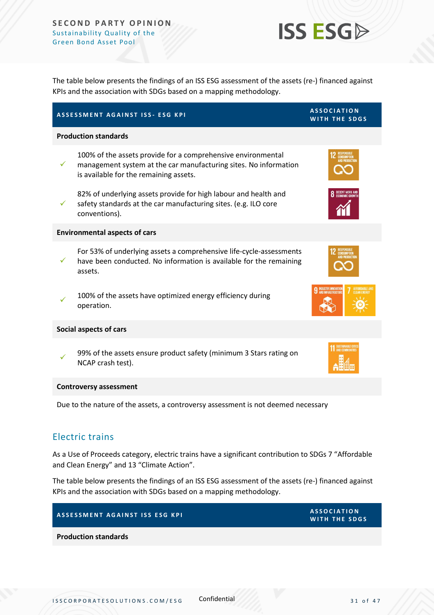

The table below presents the findings of an ISS ESG assessment of the assets (re-) financed against KPIs and the association with SDGs based on a mapping methodology.

|              | ASSESSMENT AGAINST ISS- ESG KPI                                                                                                                                            | <b>ASSOCIATION</b><br>WITH THE SDGS |
|--------------|----------------------------------------------------------------------------------------------------------------------------------------------------------------------------|-------------------------------------|
|              | <b>Production standards</b>                                                                                                                                                |                                     |
| $\checkmark$ | 100% of the assets provide for a comprehensive environmental<br>management system at the car manufacturing sites. No information<br>is available for the remaining assets. |                                     |
| ✓            | 82% of underlying assets provide for high labour and health and<br>safety standards at the car manufacturing sites. (e.g. ILO core<br>conventions).                        | DECENT WORK AND                     |
|              | <b>Environmental aspects of cars</b>                                                                                                                                       |                                     |
|              | For 53% of underlying assets a comprehensive life-cycle-assessments<br>have been conducted. No information is available for the remaining<br>assets.                       |                                     |
|              | 100% of the assets have optimized energy efficiency during<br>operation.                                                                                                   | NDUSTRY, INNOVATIO                  |
|              | <b>Social aspects of cars</b>                                                                                                                                              |                                     |
|              | 99% of the assets ensure product safety (minimum 3 Stars rating on<br>NCAP crash test).                                                                                    |                                     |
|              | <b>Controversy assessment</b>                                                                                                                                              |                                     |
|              | Due to the nature of the assets, a controversy assessment is not deemed necessary                                                                                          |                                     |

### <span id="page-30-0"></span>Electric trains

As a Use of Proceeds category, electric trains have a significant contribution to SDGs 7 "Affordable and Clean Energy" and 13 "Climate Action".

The table below presents the findings of an ISS ESG assessment of the assets (re-) financed against KPIs and the association with SDGs based on a mapping methodology.

## **A S S S S MENT AGAINST ISS ESG KPI ASSESSMENT AGAINST ISS ESG KPI**

**Production standards**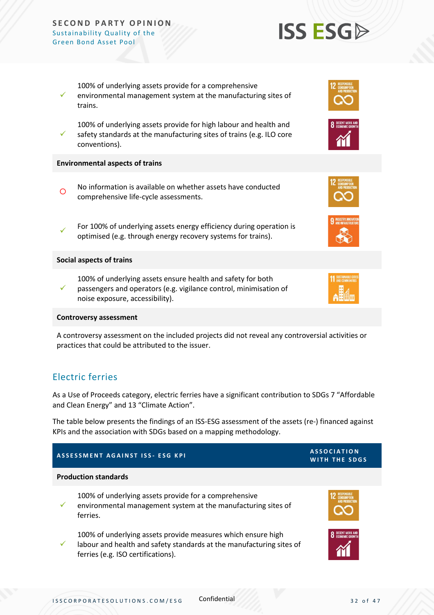

✓ safety standards at the manufacturing sites of trains (e.g. ILO core conventions).

environmental management system at the manufacturing sites of

100% of underlying assets provide for a comprehensive

### **Environmental aspects of trains**

✓

trains.

- $\Omega$ No information is available on whether assets have conducted comprehensive life-cycle assessments.
- ✓ For 100% of underlying assets energy efficiency during operation is optimised (e.g. through energy recovery systems for trains).

### **Social aspects of trains**

- 100% of underlying assets ensure health and safety for both
- ✓ passengers and operators (e.g. vigilance control, minimisation of noise exposure, accessibility).

### **Controversy assessment**

A controversy assessment on the included projects did not reveal any controversial activities or practices that could be attributed to the issuer.

### <span id="page-31-0"></span>Electric ferries

As a Use of Proceeds category, electric ferries have a significant contribution to SDGs 7 "Affordable and Clean Energy" and 13 "Climate Action".

The table below presents the findings of an ISS-ESG assessment of the assets (re-) financed against KPIs and the association with SDGs based on a mapping methodology.

### **A S S E S S M E N T A G A I N S T I S S - E S G K P I A S S O C I A T I O N WITH THE SDGS Production standards** ✓ 100% of underlying assets provide for a comprehensive environmental management system at the manufacturing sites of ferries. ✓ 100% of underlying assets provide measures which ensure high labour and health and safety standards at the manufacturing sites of ferries (e.g. ISO certifications).







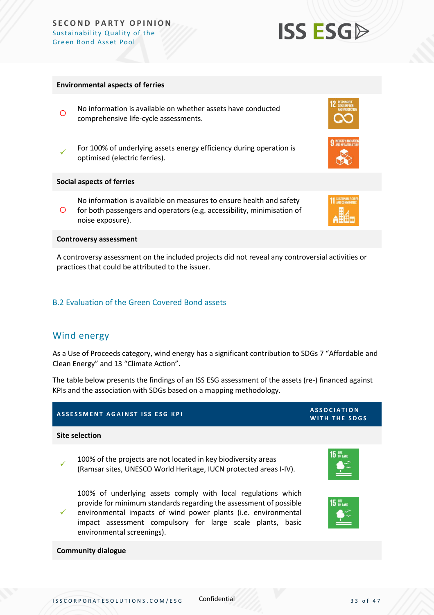### **Environmental aspects of ferries**

- $\circ$ No information is available on whether assets have conducted comprehensive life-cycle assessments.
- ✓ For 100% of underlying assets energy efficiency during operation is optimised (electric ferries).

#### **Social aspects of ferries**

 $\circ$ No information is available on measures to ensure health and safety for both passengers and operators (e.g. accessibility, minimisation of noise exposure).

#### **Controversy assessment**

A controversy assessment on the included projects did not reveal any controversial activities or practices that could be attributed to the issuer.

### B.2 Evaluation of the Green Covered Bond assets

### <span id="page-32-0"></span>Wind energy

As a Use of Proceeds category, wind energy has a significant contribution to SDGs 7 "Affordable and Clean Energy" and 13 "Climate Action".

The table below presents the findings of an ISS ESG assessment of the assets (re-) financed against KPIs and the association with SDGs based on a mapping methodology.

### **A S S E S S M E N T A G A I N S T I S S E S G K P I A S S O C I A T I O N**

### **Site selection**

✓ 100% of the projects are not located in key biodiversity areas (Ramsar sites, UNESCO World Heritage, IUCN protected areas I-IV).

100% of underlying assets comply with local regulations which provide for minimum standards regarding the assessment of possible

✓ environmental impacts of wind power plants (i.e. environmental impact assessment compulsory for large scale plants, basic environmental screenings).

#### **Community dialogue**













## **ISS ESG**

ISSCORPORATESOLUTIONS.COM/ESG Confidential 33 of 47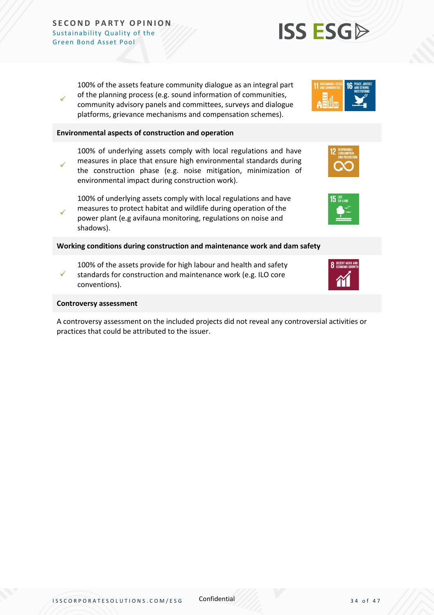✓

100% of the assets feature community dialogue as an integral part of the planning process (e.g. sound information of communities, community advisory panels and committees, surveys and dialogue platforms, grievance mechanisms and compensation schemes).

### **Environmental aspects of construction and operation**

✓ 100% of underlying assets comply with local regulations and have measures in place that ensure high environmental standards during the construction phase (e.g. noise mitigation, minimization of environmental impact during construction work).

100% of underlying assets comply with local regulations and have measures to protect habitat and wildlife during operation of the

✓ power plant (e.g avifauna monitoring, regulations on noise and shadows).

### **Working conditions during construction and maintenance work and dam safety**

- 100% of the assets provide for high labour and health and safety
- ✓ standards for construction and maintenance work (e.g. ILO core conventions).

### **Controversy assessment**

A controversy assessment on the included projects did not reveal any controversial activities or practices that could be attributed to the issuer.







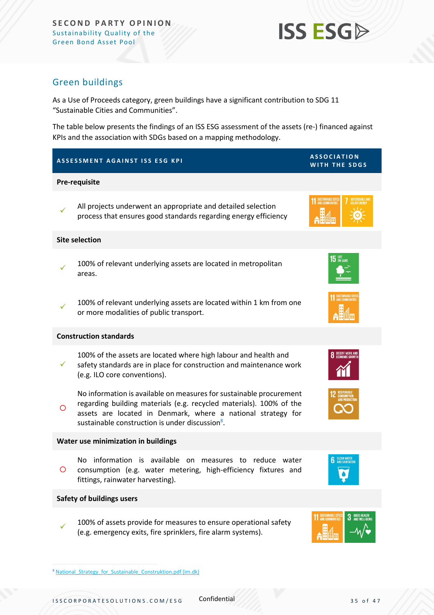

### <span id="page-34-0"></span>Green buildings

As a Use of Proceeds category, green buildings have a significant contribution to SDG 11 "Sustainable Cities and Communities".

The table below presents the findings of an ISS ESG assessment of the assets (re-) financed against KPIs and the association with SDGs based on a mapping methodology.

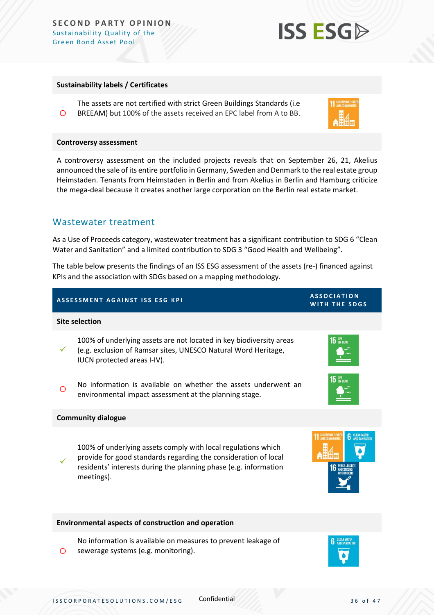### **Sustainability labels / Certificates**

 $\circ$ The assets are not certified with strict Green Buildings Standards (i.e BREEAM) but 100% of the assets received an EPC label from A to BB.

#### **Controversy assessment**

A controversy assessment on the included projects reveals that on September 26, 21, Akelius announced the sale of its entire portfolio in Germany, Sweden and Denmark to the real estate group Heimstaden. Tenants from Heimstaden in Berlin and from Akelius in Berlin and Hamburg criticize the mega-deal because it creates another large corporation on the Berlin real estate market.

### <span id="page-35-0"></span>Wastewater treatment

As a Use of Proceeds category, wastewater treatment has a significant contribution to SDG 6 "Clean Water and Sanitation" and a limited contribution to SDG 3 "Good Health and Wellbeing".

The table below presents the findings of an ISS ESG assessment of the assets (re-) financed against KPIs and the association with SDGs based on a mapping methodology.

### **A S S E S S M E N T A G A I N S T I S S E S G K P I A S S O C I A T I O N**

#### **Site selection**

✓ 100% of underlying assets are not located in key biodiversity areas (e.g. exclusion of Ramsar sites, UNESCO Natural Word Heritage, IUCN protected areas I-IV).

 $\circ$ No information is available on whether the assets underwent an environmental impact assessment at the planning stage.

#### **Community dialogue**

 $\circ$ 

✓ 100% of underlying assets comply with local regulations which provide for good standards regarding the consideration of local residents' interests during the planning phase (e.g. information meetings).

#### **Environmental aspects of construction and operation**

No information is available on measures to prevent leakage of sewerage systems (e.g. monitoring).







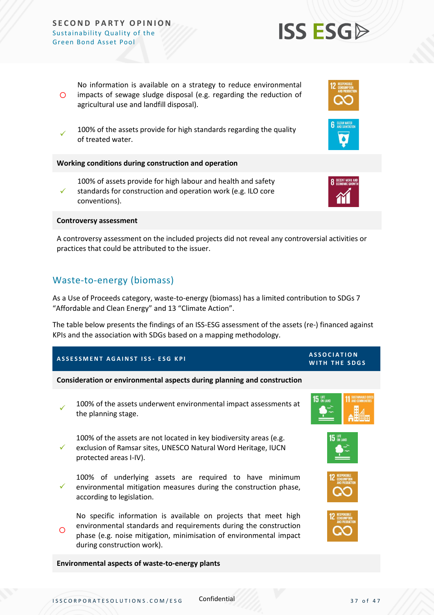agricultural use and landfill disposal). ✓ 100% of the assets provide for high standards regarding the quality

No information is available on a strategy to reduce environmental impacts of sewage sludge disposal (e.g. regarding the reduction of

**Working conditions during construction and operation**

✓ 100% of assets provide for high labour and health and safety standards for construction and operation work (e.g. ILO core conventions).

### **Controversy assessment**

of treated water.

 $\Omega$ 

A controversy assessment on the included projects did not reveal any controversial activities or practices that could be attributed to the issuer.

### <span id="page-36-0"></span>Waste-to-energy (biomass)

As a Use of Proceeds category, waste-to-energy (biomass) has a limited contribution to SDGs 7 "Affordable and Clean Energy" and 13 "Climate Action".

The table below presents the findings of an ISS-ESG assessment of the assets (re-) financed against KPIs and the association with SDGs based on a mapping methodology.

### **A S S E S S M E N T A G A I N S T I S S - E S G K P I A S S O C I A T I O N**

**Consideration or environmental aspects during planning and construction**

- ✓ 100% of the assets underwent environmental impact assessments at the planning stage.
- ✓ 100% of the assets are not located in key biodiversity areas (e.g. exclusion of Ramsar sites, UNESCO Natural Word Heritage, IUCN protected areas I-IV).
- ✓ 100% of underlying assets are required to have minimum environmental mitigation measures during the construction phase, according to legislation.

 $\circ$ No specific information is available on projects that meet high environmental standards and requirements during the construction phase (e.g. noise mitigation, minimisation of environmental impact during construction work).

**Environmental aspects of waste-to-energy plants**











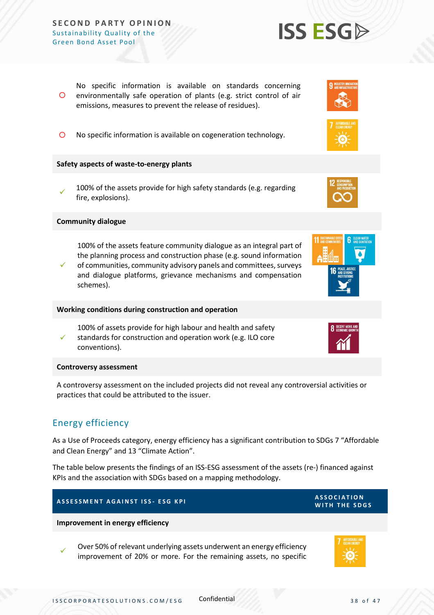$\circ$ No specific information is available on standards concerning environmentally safe operation of plants (e.g. strict control of air emissions, measures to prevent the release of residues).

No specific information is available on cogeneration technology.

### **Safety aspects of waste-to-energy plants**

✓ 100% of the assets provide for high safety standards (e.g. regarding fire, explosions).

### **Community dialogue**

100% of the assets feature community dialogue as an integral part of the planning process and construction phase (e.g. sound information

✓ of communities, community advisory panels and committees, surveys and dialogue platforms, grievance mechanisms and compensation schemes).

#### **Working conditions during construction and operation**

100% of assets provide for high labour and health and safety standards for construction and operation work (e.g. ILO core

conventions).

#### **Controversy assessment**

✓

A controversy assessment on the included projects did not reveal any controversial activities or practices that could be attributed to the issuer.

### <span id="page-37-0"></span>Energy efficiency

As a Use of Proceeds category, energy efficiency has a significant contribution to SDGs 7 "Affordable and Clean Energy" and 13 "Climate Action".

The table below presents the findings of an ISS-ESG assessment of the assets (re-) financed against KPIs and the association with SDGs based on a mapping methodology.

### **A S S E S S M E N T A G A I N S T I S S - E S G K P I A S S O C I A T I O N**

**Improvement in energy efficiency** 

✓ Over 50% of relevant underlying assets underwent an energy efficiency improvement of 20% or more. For the remaining assets, no specific











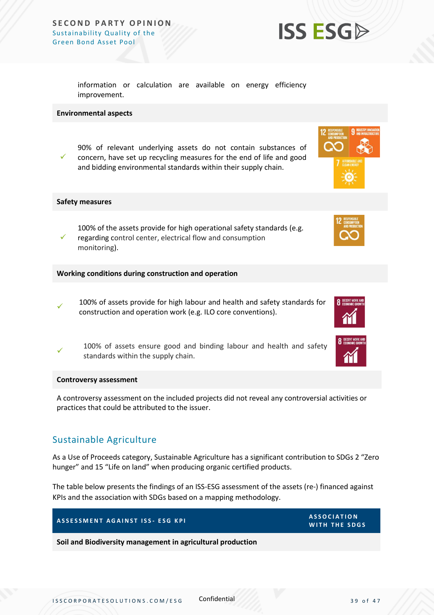

information or calculation are available on energy efficiency improvement.

### **Environmental aspects**

✓ 90% of relevant underlying assets do not contain substances of concern, have set up recycling measures for the end of life and good and bidding environmental standards within their supply chain.

### **Safety measures**

✓ 100% of the assets provide for high operational safety standards (e.g. regarding control center, electrical flow and consumption monitoring).

**Working conditions during construction and operation**

✓ 100% of assets provide for high labour and health and safety standards for construction and operation work (e.g. ILO core conventions).

✓ 100% of assets ensure good and binding labour and health and safety standards within the supply chain.

#### **Controversy assessment**

A controversy assessment on the included projects did not reveal any controversial activities or practices that could be attributed to the issuer.

### <span id="page-38-0"></span>Sustainable Agriculture

As a Use of Proceeds category, Sustainable Agriculture has a significant contribution to SDGs 2 "Zero hunger" and 15 "Life on land" when producing organic certified products.

The table below presents the findings of an ISS-ESG assessment of the assets (re-) financed against KPIs and the association with SDGs based on a mapping methodology.

| ASSESSMENT AGAINST ISS- ESG KPI                             | <b>ASSOCIATION</b><br>WITH THE SDGS |
|-------------------------------------------------------------|-------------------------------------|
| Soil and Biodiversity management in agricultural production |                                     |



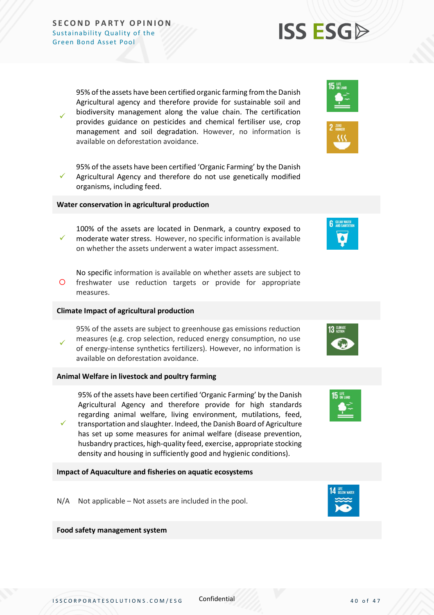✓

✓

95% of the assets have been certified organic farming from the Danish Agricultural agency and therefore provide for sustainable soil and biodiversity management along the value chain. The certification provides guidance on pesticides and chemical fertiliser use, crop management and soil degradation. However, no information is available on deforestation avoidance.

95% of the assets have been certified 'Organic Farming' by the Danish Agricultural Agency and therefore do not use genetically modified organisms, including feed.

#### **Water conservation in agricultural production**

- ✓ 100% of the assets are located in Denmark, a country exposed to moderate water stress. However, no specific information is available on whether the assets underwent a water impact assessment.
- $\circ$ No specific information is available on whether assets are subject to freshwater use reduction targets or provide for appropriate measures.

#### **Climate Impact of agricultural production**

✓ 95% of the assets are subject to greenhouse gas emissions reduction measures (e.g. crop selection, reduced energy consumption, no use of energy-intense synthetics fertilizers). However, no information is available on deforestation avoidance.

### **Animal Welfare in livestock and poultry farming**

95% of the assets have been certified 'Organic Farming' by the Danish Agricultural Agency and therefore provide for high standards regarding animal welfare, living environment, mutilations, feed,

✓ transportation and slaughter. Indeed, the Danish Board of Agriculture has set up some measures for animal welfare (disease prevention, husbandry practices, high-quality feed, exercise, appropriate stocking density and housing in sufficiently good and hygienic conditions).

### **Impact of Aquaculture and fisheries on aquatic ecosystems**

N/A Not applicable – Not assets are included in the pool.

### **Food safety management system**













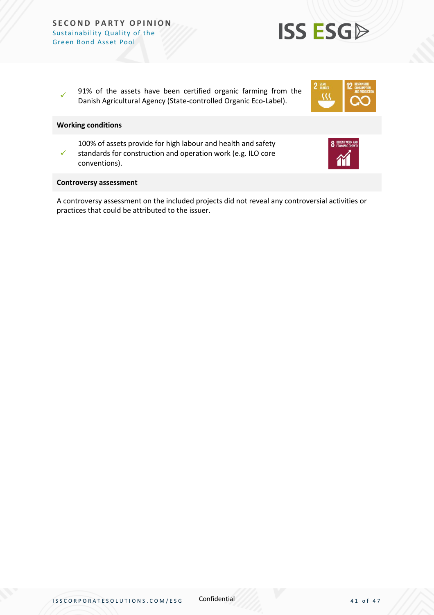✓ 91% of the assets have been certified organic farming from the Danish Agricultural Agency (State-controlled Organic Eco-Label).

### **Working conditions**

✓ 100% of assets provide for high labour and health and safety standards for construction and operation work (e.g. ILO core conventions).

#### **Controversy assessment**

A controversy assessment on the included projects did not reveal any controversial activities or practices that could be attributed to the issuer.

**ISS ESGA** 

32

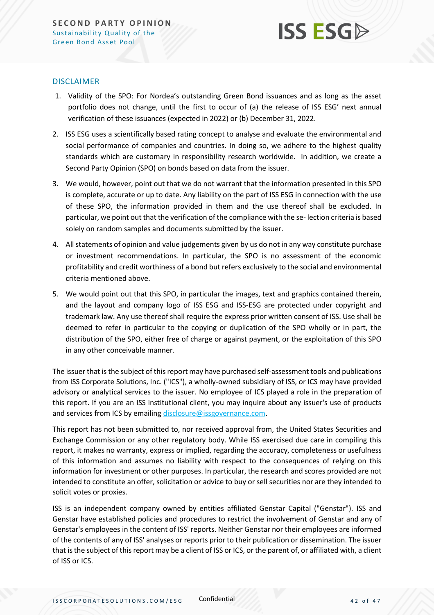

### DISCLAIMER

- 1. Validity of the SPO: For Nordea's outstanding Green Bond issuances and as long as the asset portfolio does not change, until the first to occur of (a) the release of ISS ESG' next annual verification of these issuances (expected in 2022) or (b) December 31, 2022.
- 2. ISS ESG uses a scientifically based rating concept to analyse and evaluate the environmental and social performance of companies and countries. In doing so, we adhere to the highest quality standards which are customary in responsibility research worldwide. In addition, we create a Second Party Opinion (SPO) on bonds based on data from the issuer.
- 3. We would, however, point out that we do not warrant that the information presented in this SPO is complete, accurate or up to date. Any liability on the part of ISS ESG in connection with the use of these SPO, the information provided in them and the use thereof shall be excluded. In particular, we point out that the verification of the compliance with the se- lection criteria is based solely on random samples and documents submitted by the issuer.
- 4. All statements of opinion and value judgements given by us do not in any way constitute purchase or investment recommendations. In particular, the SPO is no assessment of the economic profitability and credit worthiness of a bond but refers exclusively to the social and environmental criteria mentioned above.
- 5. We would point out that this SPO, in particular the images, text and graphics contained therein, and the layout and company logo of ISS ESG and ISS-ESG are protected under copyright and trademark law. Any use thereof shall require the express prior written consent of ISS. Use shall be deemed to refer in particular to the copying or duplication of the SPO wholly or in part, the distribution of the SPO, either free of charge or against payment, or the exploitation of this SPO in any other conceivable manner.

The issuer that is the subject of this report may have purchased self-assessment tools and publications from ISS Corporate Solutions, Inc. ("ICS"), a wholly-owned subsidiary of ISS, or ICS may have provided advisory or analytical services to the issuer. No employee of ICS played a role in the preparation of this report. If you are an ISS institutional client, you may inquire about any issuer's use of products and services from ICS by emailin[g disclosure@issgovernance.com.](mailto:disclosure@issgovernance.com)

This report has not been submitted to, nor received approval from, the United States Securities and Exchange Commission or any other regulatory body. While ISS exercised due care in compiling this report, it makes no warranty, express or implied, regarding the accuracy, completeness or usefulness of this information and assumes no liability with respect to the consequences of relying on this information for investment or other purposes. In particular, the research and scores provided are not intended to constitute an offer, solicitation or advice to buy or sell securities nor are they intended to solicit votes or proxies.

ISS is an independent company owned by entities affiliated Genstar Capital ("Genstar"). ISS and Genstar have established policies and procedures to restrict the involvement of Genstar and any of Genstar's employees in the content of ISS' reports. Neither Genstar nor their employees are informed of the contents of any of ISS' analyses or reports prior to their publication or dissemination. The issuer that is the subject of this report may be a client of ISS or ICS, or the parent of, or affiliated with, a client of ISS or ICS.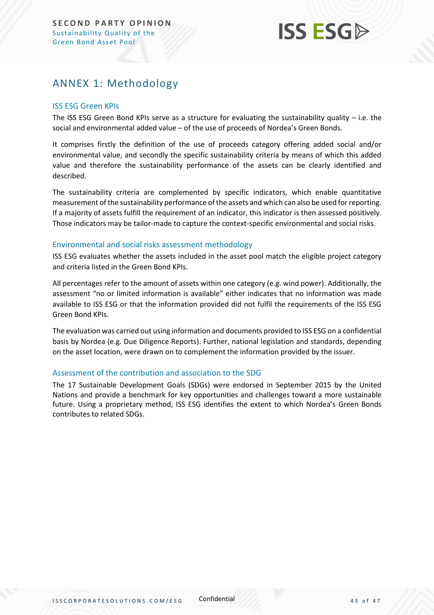## **ISS ESG**

### <span id="page-42-0"></span>ANNEX 1: Methodology

### ISS ESG Green KPIs

The ISS ESG Green Bond KPIs serve as a structure for evaluating the sustainability quality  $-$  i.e. the social and environmental added value – of the use of proceeds of Nordea's Green Bonds.

It comprises firstly the definition of the use of proceeds category offering added social and/or environmental value, and secondly the specific sustainability criteria by means of which this added value and therefore the sustainability performance of the assets can be clearly identified and described.

The sustainability criteria are complemented by specific indicators, which enable quantitative measurement of the sustainability performance of the assets and which can also be used for reporting. If a majority of assets fulfill the requirement of an indicator, this indicator is then assessed positively. Those indicators may be tailor-made to capture the context-specific environmental and social risks.

### Environmental and social risks assessment methodology

ISS ESG evaluates whether the assets included in the asset pool match the eligible project category and criteria listed in the Green Bond KPIs.

All percentages refer to the amount of assets within one category (e.g. wind power). Additionally, the assessment "no or limited information is available" either indicates that no information was made available to ISS ESG or that the information provided did not fulfil the requirements of the ISS ESG Green Bond KPIs.

The evaluation was carried out using information and documents provided to ISS ESG on a confidential basis by Nordea (e.g. Due Diligence Reports). Further, national legislation and standards, depending on the asset location, were drawn on to complement the information provided by the issuer.

### Assessment of the contribution and association to the SDG

The 17 Sustainable Development Goals (SDGs) were endorsed in September 2015 by the United Nations and provide a benchmark for key opportunities and challenges toward a more sustainable future. Using a proprietary method, ISS ESG identifies the extent to which Nordea's Green Bonds contributes to related SDGs.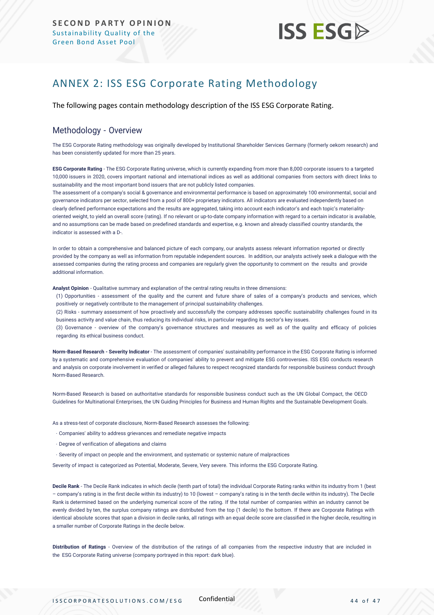

### <span id="page-43-0"></span>ANNEX 2: ISS ESG Corporate Rating Methodology

The following pages contain methodology description of the ISS ESG Corporate Rating.

### Methodology - Overview

The ESG Corporate Rating methodology was originally developed by Institutional Shareholder Services Germany (formerly oekom research) and has been consistently updated for more than 25 years.

**ESG Corporate Rating** - The ESG Corporate Rating universe, which is currently expanding from more than 8,000 corporate issuers to a targeted 10,000 issuers in 2020, covers important national and international indices as well as additional companies from sectors with direct links to sustainability and the most important bond issuers that are not publicly listed companies.

The assessment of a company's social & governance and environmental performance is based on approximately 100 environmental, social and governance indicators per sector, selected from a pool of 800+ proprietary indicators. All indicators are evaluated independently based on clearly defined performance expectations and the results are aggregated, taking into account each indicator's and each topic's materialityoriented weight, to yield an overall score (rating). If no relevant or up-to-date company information with regard to a certain indicator is available, and no assumptions can be made based on predefined standards and expertise, e.g. known and already classified country standards, the indicator is assessed with a D-.

In order to obtain a comprehensive and balanced picture of each company, our analysts assess relevant information reported or directly provided by the company as well as information from reputable independent sources. In addition, our analysts actively seek a dialogue with the assessed companies during the rating process and companies are regularly given the opportunity to comment on the results and provide additional information.

**Analyst Opinion** - Qualitative summary and explanation of the central rating results in three dimensions:

(1) Opportunities - assessment of the quality and the current and future share of sales of a company's products and services, which positively or negatively contribute to the management of principal sustainability challenges.

(2) Risks - summary assessment of how proactively and successfully the company addresses specific sustainability challenges found in its business activity and value chain, thus reducing its individual risks, in particular regarding its sector's key issues.

(3) Governance - overview of the company's governance structures and measures as well as of the quality and efficacy of policies regarding its ethical business conduct.

**Norm-Based Research - Severity Indicator** - The assessment of companies' sustainability performance in the ESG Corporate Rating is informed by a systematic and comprehensive evaluation of companies' ability to prevent and mitigate ESG controversies. ISS ESG conducts research and analysis [on corporate involvement in verified or alleged failures to respect recognized](https://www.issgovernance.com/esg/screening/esg-screening-solutions/#nbr_techdoc_download) standards for responsible business conduct through [Norm-Based](https://www.issgovernance.com/esg/screening/esg-screening-solutions/#nbr_techdoc_download) Research.

Norm-Based Research is based on authoritative standards for responsible business conduct such as the UN Global Compact, the OECD Guidelines for Multinational Enterprises, the UN Guiding Principles for Business and Human Rights and the Sustainable Development Goals.

As a stress-test of corporate disclosure, Norm-Based Research assesses the following:

- Companies' ability to address grievances and remediate negative impacts
- Degree of verification of allegations and claims
- Severity of impact on people and the environment, and systematic or systemic nature of malpractices

Severity of impact is categorized as Potential, Moderate, Severe, Very severe. This informs the ESG Corporate Rating.

**Decile Rank** - The Decile Rank indicates in which decile (tenth part of total) the individual Corporate Rating ranks within its industry from 1 (best – company's rating is in the first decile within its industry) to 10 (lowest – company's rating is in the tenth decile within its industry). The Decile Rank is determined based on the underlying numerical score of the rating. If the total number of companies within an industry cannot be evenly divided by ten, the surplus company ratings are distributed from the top (1 decile) to the bottom. If there are Corporate Ratings with identical absolute scores that span a division in decile ranks, all ratings with an equal decile score are classified in the higher decile, resulting in a smaller number of Corporate Ratings in the decile below.

**Distribution of Ratings** - Overview of the distribution of the ratings of all companies from the respective industry that are included in the ESG Corporate Rating universe (company portrayed in this report: dark blue).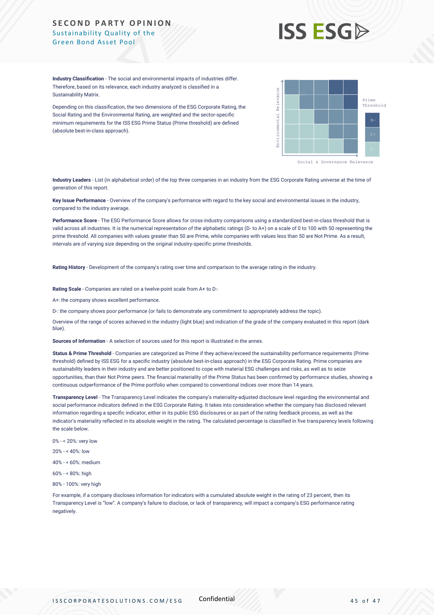# **ISS ESG**

**Industry Classification** - The social and environmental impacts of industries differ. Therefore, based on its relevance, each industry analyzed is classified in a Sustainability Matrix.

Depending on this classification, the two dimensions of the ESG Corporate Rating, the Social Rating and the Environmental Rating, are weighted and the sector-specific minimum requirements for the ISS ESG Prime Status (Prime threshold) are defined (absolute best-in-class approach).



**Industry Leaders** - List (in alphabetical order) of the top three companies in an industry from the ESG Corporate Rating universe at the time of generation of this report.

**Key Issue Performance** - Overview of the company's performance with regard to the key social and environmental issues in the industry, compared to the industry average.

**Performance Score** - The ESG Performance Score allows for cross-industry comparisons using a standardized best-in-class threshold that is valid across all industries. It is the numerical representation of the alphabetic ratings (D- to A+) on a scale of 0 to 100 with 50 representing the prime threshold. All companies with values greater than 50 are Prime, while companies with values less than 50 are Not Prime. As a result, intervals are of varying size depending on the original industry-specific prime thresholds.

**Rating History** - Development of the company's rating over time and comparison to the average rating in the industry.

**Rating Scale** - Companies are rated on a twelve-point scale from A+ to D-:

A+: the company shows excellent performance.

D-: the company shows poor performance (or fails to demonstrate any commitment to appropriately address the topic).

Overview of the range of scores achieved in the industry (light blue) and indication of the grade of the company evaluated in this report (dark blue).

**Sources of Information** - A selection of sources used for this report is illustrated in the annex.

**Status & Prime Threshold** - Companies are categorized as Prime if they achieve/exceed the sustainability performance requirements (Prime threshold) defined by ISS ESG for a specific industry (absolute best-in-class approach) in the ESG Corporate Rating. Prime companies are sustainability leaders in their industry and are better positioned to cope with material ESG challenges and risks, as well as to seize opportunities, than their Not Prime peers. The financial materiality of the Prime Status has been confirmed by performance studies, showing a continuous outperformance of the Prime portfolio when compared to conventional indices over more than 14 years.

**Transparency Level** - The Transparency Level indicates the company's materiality-adjusted disclosure level regarding the environmental and social performance indicators defined in the ESG Corporate Rating. It takes into consideration whether the company has disclosed relevant information regarding a specific indicator, either in its public ESG disclosures or as part of the rating feedback process, as well as the indicator's materiality reflected in its absolute weight in the rating. The calculated percentage is classified in five transparency levels following the scale below.

0% - < 20%: very low

20% - < 40%: low

- 40% < 60%: medium
- 60% < 80%: high
- 80% 100%: very high

For example, if a company discloses information for indicators with a cumulated absolute weight in the rating of 23 percent, then its Transparency Level is "low". A company's failure to disclose, or lack of transparency, will impact a company's ESG performance rating negatively.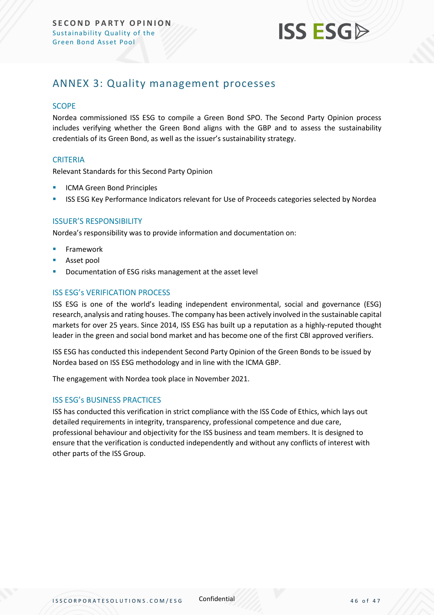

### <span id="page-45-0"></span>ANNEX 3: Quality management processes

### **SCOPE**

Nordea commissioned ISS ESG to compile a Green Bond SPO. The Second Party Opinion process includes verifying whether the Green Bond aligns with the GBP and to assess the sustainability credentials of its Green Bond, as well as the issuer's sustainability strategy.

### **CRITERIA**

Relevant Standards for this Second Party Opinion

- **ICMA Green Bond Principles**
- ISS ESG Key Performance Indicators relevant for Use of Proceeds categories selected by Nordea

### ISSUER'S RESPONSIBILITY

Nordea's responsibility was to provide information and documentation on:

- **Framework**
- Asset pool
- Documentation of ESG risks management at the asset level

### ISS ESG's VERIFICATION PROCESS

ISS ESG is one of the world's leading independent environmental, social and governance (ESG) research, analysis and rating houses. The company has been actively involved in the sustainable capital markets for over 25 years. Since 2014, ISS ESG has built up a reputation as a highly-reputed thought leader in the green and social bond market and has become one of the first CBI approved verifiers.

ISS ESG has conducted this independent Second Party Opinion of the Green Bonds to be issued by Nordea based on ISS ESG methodology and in line with the ICMA GBP.

The engagement with Nordea took place in November 2021.

### ISS ESG's BUSINESS PRACTICES

ISS has conducted this verification in strict compliance with the ISS Code of Ethics, which lays out detailed requirements in integrity, transparency, professional competence and due care, professional behaviour and objectivity for the ISS business and team members. It is designed to ensure that the verification is conducted independently and without any conflicts of interest with other parts of the ISS Group.